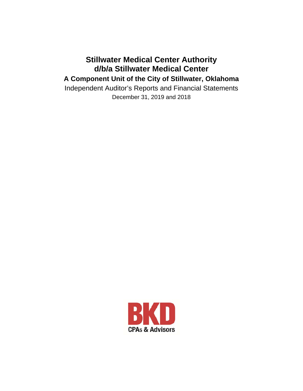## **Stillwater Medical Center Authority d/b/a Stillwater Medical Center A Component Unit of the City of Stillwater, Oklahoma**

Independent Auditor's Reports and Financial Statements December 31, 2019 and 2018

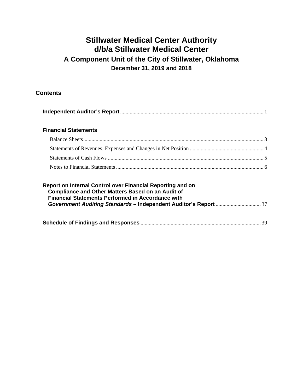## **Contents**

| <b>Financial Statements</b>                                                                                                                                                        |  |
|------------------------------------------------------------------------------------------------------------------------------------------------------------------------------------|--|
|                                                                                                                                                                                    |  |
|                                                                                                                                                                                    |  |
|                                                                                                                                                                                    |  |
|                                                                                                                                                                                    |  |
| Report on Internal Control over Financial Reporting and on<br><b>Compliance and Other Matters Based on an Audit of</b><br><b>Financial Statements Performed in Accordance with</b> |  |
|                                                                                                                                                                                    |  |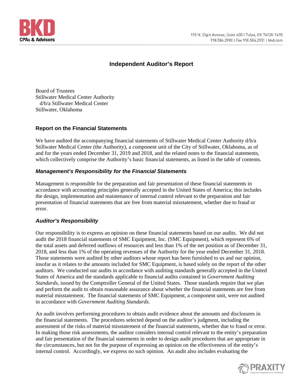

## **Independent Auditor's Report**

Board of Trustees Stillwater Medical Center Authority d/b/a Stillwater Medical Center Stillwater, Oklahoma

### **Report on the Financial Statements**

We have audited the accompanying financial statements of Stillwater Medical Center Authority  $d/b/a$ Stillwater Medical Center (the Authority), a component unit of the City of Stillwater, Oklahoma, as of and for the years ended December 31, 2019 and 2018, and the related notes to the financial statements, which collectively comprise the Authority's basic financial statements, as listed in the table of contents.

## *Management's Responsibility for the Financial Statements*

Management is responsible for the preparation and fair presentation of these financial statements in accordance with accounting principles generally accepted in the United States of America; this includes the design, implementation and maintenance of internal control relevant to the preparation and fair presentation of financial statements that are free from material misstatement, whether due to fraud or error.

### *Auditor's Responsibility*

Our responsibility is to express an opinion on these financial statements based on our audits. We did not audit the 2018 financial statements of SMC Equipment, Inc. (SMC Equipment), which represent 6% of the total assets and deferred outflows of resources and less than 1% of the net position as of December 31, 2018, and less than 1% of the operating revenues of the Authority for the year ended December 31, 2018. Those statements were audited by other auditors whose report has been furnished to us and our opinion, insofar as it relates to the amounts included for SMC Equipment, is based solely on the report of the other auditors. We conducted our audits in accordance with auditing standards generally accepted in the United States of America and the standards applicable to financial audits contained in *Government Auditing Standards*, issued by the Comptroller General of the United States. Those standards require that we plan and perform the audit to obtain reasonable assurance about whether the financial statements are free from material misstatement. The financial statements of SMC Equipment, a component unit, were not audited in accordance with *Government Auditing Standards*.

An audit involves performing procedures to obtain audit evidence about the amounts and disclosures in the financial statements. The procedures selected depend on the auditor's judgment, including the assessment of the risks of material misstatement of the financial statements, whether due to fraud or error. In making those risk assessments, the auditor considers internal control relevant to the entity's preparation and fair presentation of the financial statements in order to design audit procedures that are appropriate in the circumstances, but not for the purpose of expressing an opinion on the effectiveness of the entity's internal control. Accordingly, we express no such opinion. An audit also includes evaluating the

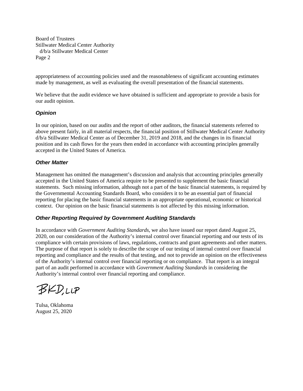Board of Trustees Stillwater Medical Center Authority d/b/a Stillwater Medical Center Page 2

appropriateness of accounting policies used and the reasonableness of significant accounting estimates made by management, as well as evaluating the overall presentation of the financial statements.

We believe that the audit evidence we have obtained is sufficient and appropriate to provide a basis for our audit opinion.

### *Opinion*

In our opinion, based on our audits and the report of other auditors, the financial statements referred to above present fairly, in all material respects, the financial position of Stillwater Medical Center Authority d/b/a Stillwater Medical Center as of December 31, 2019 and 2018, and the changes in its financial position and its cash flows for the years then ended in accordance with accounting principles generally accepted in the United States of America.

### *Other Matter*

Management has omitted the management's discussion and analysis that accounting principles generally accepted in the United States of America require to be presented to supplement the basic financial statements. Such missing information, although not a part of the basic financial statements, is required by the Governmental Accounting Standards Board, who considers it to be an essential part of financial reporting for placing the basic financial statements in an appropriate operational, economic or historical context. Our opinion on the basic financial statements is not affected by this missing information.

### *Other Reporting Required by Government Auditing Standards*

In accordance with *Government Auditing Standards*, we also have issued our report dated August 25, 2020, on our consideration of the Authority's internal control over financial reporting and our tests of its compliance with certain provisions of laws, regulations, contracts and grant agreements and other matters. The purpose of that report is solely to describe the scope of our testing of internal control over financial reporting and compliance and the results of that testing, and not to provide an opinion on the effectiveness of the Authority's internal control over financial reporting or on compliance. That report is an integral part of an audit performed in accordance with *Government Auditing Standards* in considering the Authority's internal control over financial reporting and compliance.

BKD.LLP

Tulsa, Oklahoma August 25, 2020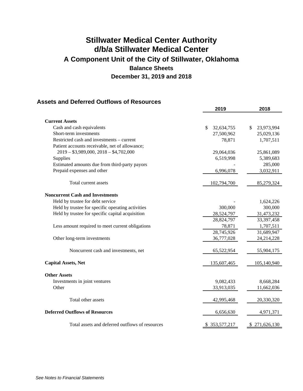## **Assets and Deferred Outflows of Resources**

|                                                   | 2019                       | 2018             |
|---------------------------------------------------|----------------------------|------------------|
| <b>Current Assets</b>                             |                            |                  |
| Cash and cash equivalents                         | 32,634,755<br>$\mathbb{S}$ | 23,973,994<br>\$ |
| Short-term investments                            |                            |                  |
|                                                   | 27,500,962                 | 25,029,136       |
| Restricted cash and investments – current         | 78,871                     | 1,707,511        |
| Patient accounts receivable, net of allowance;    |                            |                  |
| $2019 - $3,989,000, 2018 - $4,702,000$            | 29,064,036                 | 25,861,089       |
| Supplies                                          | 6,519,998                  | 5,389,683        |
| Estimated amounts due from third-party payors     |                            | 285,000          |
| Prepaid expenses and other                        | 6,996,078                  | 3,032,911        |
| Total current assets                              | 102,794,700                | 85,279,324       |
| <b>Noncurrent Cash and Investments</b>            |                            |                  |
| Held by trustee for debt service                  |                            | 1,624,226        |
| Held by trustee for specific operating activities | 300,000                    | 300,000          |
| Held by trustee for specific capital acquisition  | 28,524,797                 | 31,473,232       |
|                                                   | 28,824,797                 | 33,397,458       |
| Less amount required to meet current obligations  | 78,871                     | 1,707,511        |
|                                                   | 28,745,926                 | 31,689,947       |
| Other long-term investments                       | 36,777,028                 | 24,214,228       |
|                                                   |                            |                  |
| Noncurrent cash and investments, net              | 65,522,954                 | 55,904,175       |
| <b>Capital Assets, Net</b>                        | 135,607,465                | 105,140,940      |
| <b>Other Assets</b>                               |                            |                  |
| Investments in joint ventures                     | 9,082,433                  | 8,668,284        |
| Other                                             | 33,913,035                 | 11,662,036       |
|                                                   |                            |                  |
| Total other assets                                | 42,995,468                 | 20,330,320       |
| <b>Deferred Outflows of Resources</b>             | 6,656,630                  | 4,971,371        |
|                                                   |                            |                  |
| Total assets and deferred outflows of resources   | \$353,577,217              | \$271,626,130    |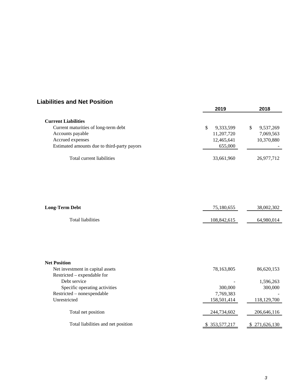## **Liabilities and Net Position**

|                                             | 2019       | 2018           |  |
|---------------------------------------------|------------|----------------|--|
| <b>Current Liabilities</b>                  |            |                |  |
| Current maturities of long-term debt        | 9,333,599  | 9,537,269<br>S |  |
| Accounts payable                            | 11,207,720 | 7,069,563      |  |
| Accrued expenses                            | 12,465,641 | 10,370,880     |  |
| Estimated amounts due to third-party payors | 655,000    |                |  |
| Total current liabilities                   | 33,661,960 | 26,977,712     |  |

| <b>Long-Term Debt</b> | 75,180,655  | 38,002,302 |
|-----------------------|-------------|------------|
| Total liabilities     | 108,842,615 | 64,980,014 |

| <b>Net Position</b>                |             |             |
|------------------------------------|-------------|-------------|
| Net investment in capital assets   | 78,163,805  | 86,620,153  |
| Restricted – expendable for        |             |             |
| Debt service                       |             | 1,596,263   |
| Specific operating activities      | 300,000     | 300,000     |
| Restricted - nonexpendable         | 7,769,383   |             |
| Unrestricted                       | 158,501,414 | 118,129,700 |
| Total net position                 | 244,734,602 | 206,646,116 |
| Total liabilities and net position | 353.577.217 | 271,626,130 |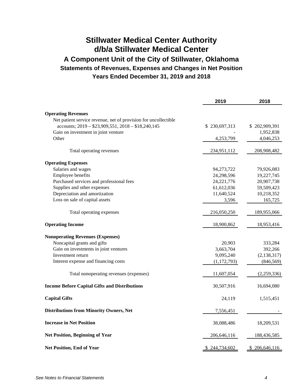## **Stillwater Medical Center Authority d/b/a Stillwater Medical Center A Component Unit of the City of Stillwater, Oklahoma Statements of Revenues, Expenses and Changes in Net Position Years Ended December 31, 2019 and 2018**

|                                                                 | 2019          | 2018          |
|-----------------------------------------------------------------|---------------|---------------|
| <b>Operating Revenues</b>                                       |               |               |
| Net patient service revenue, net of provision for uncollectible |               |               |
| accounts; 2019 - \$23,909,551, 2018 - \$18,240,145              | \$230,697,313 | \$202,909,391 |
| Gain on investment in joint venture                             |               | 1,952,838     |
| Other                                                           | 4,253,799     | 4,046,253     |
| Total operating revenues                                        | 234,951,112   | 208,908,482   |
| <b>Operating Expenses</b>                                       |               |               |
| Salaries and wages                                              | 94,273,722    | 79,926,083    |
| Employee benefits                                               | 24,298,596    | 19,227,745    |
| Purchased services and professional fees                        | 24, 221, 776  | 20,907,738    |
| Supplies and other expenses                                     | 61,612,036    | 59,509,423    |
| Depreciation and amortization                                   | 11,640,524    | 10,218,352    |
| Loss on sale of capital assets                                  | 3,596         | 165,725       |
| Total operating expenses                                        | 216,050,250   | 189,955,066   |
| <b>Operating Income</b>                                         | 18,900,862    | 18,953,416    |
| <b>Nonoperating Revenues (Expenses)</b>                         |               |               |
| Noncapital grants and gifts                                     | 20,903        | 333,284       |
| Gain on investments in joint ventures                           | 3,663,704     | 392,266       |
| Investment return                                               | 9,095,240     | (2, 138, 317) |
| Interest expense and financing costs                            | (1, 172, 793) | (846, 569)    |
| Total nonoperating revenues (expenses)                          | 11,607,054    | (2,259,336)   |
| <b>Income Before Capital Gifts and Distributions</b>            | 30,507,916    | 16,694,080    |
| <b>Capital Gifts</b>                                            | 24,119        | 1,515,451     |
| <b>Distributions from Minority Owners, Net</b>                  | 7,556,451     |               |
| <b>Increase in Net Position</b>                                 | 38,088,486    | 18,209,531    |
| <b>Net Position, Beginning of Year</b>                          | 206,646,116   | 188,436,585   |
| Net Position, End of Year                                       | \$244,734,602 | \$206,646,116 |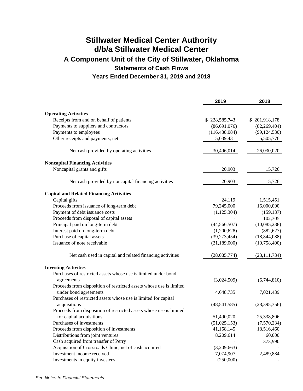# **Stillwater Medical Center Authority d/b/a Stillwater Medical Center A Component Unit of the City of Stillwater, Oklahoma Statements of Cash Flows Years Ended December 31, 2019 and 2018**

|                                                                     | 2019            | 2018           |
|---------------------------------------------------------------------|-----------------|----------------|
| <b>Operating Activities</b>                                         |                 |                |
| Receipts from and on behalf of patients                             | \$228,585,743   | \$201,918,178  |
| Payments to suppliers and contractors                               | (86, 691, 076)  | (82, 269, 404) |
| Payments to employees                                               | (116, 438, 084) | (99, 124, 530) |
| Other receipts and payments, net                                    | 5,039,431       | 5,505,776      |
| Net cash provided by operating activities                           | 30,496,014      | 26,030,020     |
| <b>Noncapital Financing Activities</b>                              |                 |                |
| Noncapital grants and gifts                                         | 20,903          | 15,726         |
| Net cash provided by noncapital financing activities                | 20,903          | 15,726         |
| <b>Capital and Related Financing Activities</b>                     |                 |                |
| Capital gifts                                                       | 24,119          | 1,515,451      |
| Proceeds from issuance of long-term debt                            | 79,245,000      | 16,000,000     |
| Payment of debt issuance costs                                      | (1, 125, 304)   | (159, 137)     |
| Proceeds from disposal of capital assets                            |                 | 102,305        |
| Principal paid on long-term debt                                    | (44, 566, 507)  | (10,085,238)   |
| Interest paid on long-term debt                                     | (1,200,628)     | (882, 627)     |
| Purchase of capital assets                                          | (39, 273, 454)  | (18, 844, 088) |
| Issuance of note receivable                                         | (21, 189, 000)  | (10, 758, 400) |
| Net cash used in capital and related financing activities           | (28,085,774)    | (23, 111, 734) |
| <b>Investing Activities</b>                                         |                 |                |
| Purchases of restricted assets whose use is limited under bond      |                 |                |
| agreements                                                          | (3,024,509)     | (6,744,810)    |
| Proceeds from disposition of restricted assets whose use is limited |                 |                |
| under bond agreements                                               | 4,648,735       | 7,021,439      |
| Purchases of restricted assets whose use is limited for capital     |                 |                |
| acquisitions                                                        | (48,541,585)    | (28, 395, 356) |
| Proceeds from disposition of restricted assets whose use is limited |                 |                |
| for capital acquisitions                                            | 51,490,020      | 25,338,806     |
| Purchases of investments                                            | (51,025,153)    | (7,570,234)    |
| Proceeds from disposition of investments                            | 41,158,145      | 18,516,460     |
| Distributions from joint ventures                                   | 8,209,614       | 60,000         |
| Cash acquired from transfer of Perry                                |                 | 373,990        |
| Acquisition of Crossroads Clinic, net of cash acquired              | (3,209,663)     |                |
| Investment income received                                          | 7,074,907       | 2,489,884      |
| Investments in equity investees                                     | (250,000)       |                |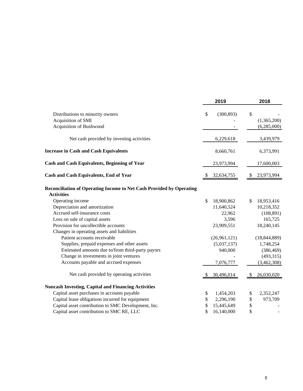|                                                                                           |    | 2019         |    | 2018           |  |
|-------------------------------------------------------------------------------------------|----|--------------|----|----------------|--|
| Distributions to minority owners                                                          | \$ | (300, 893)   | \$ |                |  |
| Acquisition of SMI                                                                        |    |              |    | (1,365,200)    |  |
| Acquisition of Bushwood                                                                   |    |              |    | (6,285,000)    |  |
| Net cash provided by investing activities                                                 |    | 6,229,618    |    | 3,439,979      |  |
| <b>Increase in Cash and Cash Equivalents</b>                                              |    | 8,660,761    |    | 6,373,991      |  |
| Cash and Cash Equivalents, Beginning of Year                                              |    | 23,973,994   |    | 17,600,003     |  |
| <b>Cash and Cash Equivalents, End of Year</b>                                             |    | 32,634,755   |    | 23,973,994     |  |
| Reconciliation of Operating Income to Net Cash Provided by Operating<br><b>Activities</b> |    |              |    |                |  |
| Operating income                                                                          | \$ | 18,900,862   | \$ | 18,953,416     |  |
| Depreciation and amortization                                                             |    | 11,640,524   |    | 10,218,352     |  |
| Accrued self-insurance costs                                                              |    | 22,962       |    | (108, 891)     |  |
| Loss on sale of capital assets                                                            |    | 3,596        |    | 165,725        |  |
| Provision for uncollectible accounts                                                      |    | 23,909,551   |    | 18,240,145     |  |
| Changes in operating assets and liabilities                                               |    |              |    |                |  |
| Patient accounts receivable                                                               |    | (26,961,121) |    | (18, 844, 889) |  |
| Supplies, prepaid expenses and other assets                                               |    | (5,037,137)  |    | 1,748,254      |  |
| Estimated amounts due to/from third-party payors                                          |    | 940,000      |    | (386, 469)     |  |
| Change in investments in joint ventures                                                   |    |              |    | (493, 315)     |  |
| Accounts payable and accrued expenses                                                     |    | 7,076,777    |    | (3,462,308)    |  |
| Net cash provided by operating activities                                                 |    | 30,496,014   | S  | 26,030,020     |  |
| <b>Noncash Investing, Capital and Financing Activities</b>                                |    |              |    |                |  |
| Capital asset purchases in accounts payable                                               | \$ | 1,454,203    | \$ | 2,352,247      |  |
| Capital lease obligations incurred for equipment                                          | \$ | 2,296,190    | \$ | 973,709        |  |
| Capital asset contribution to SMC Development, Inc.                                       | \$ | 15,445,649   | \$ |                |  |
| Capital asset contribution to SMC RE, LLC                                                 | \$ | 16,140,000   | \$ |                |  |
|                                                                                           |    |              |    |                |  |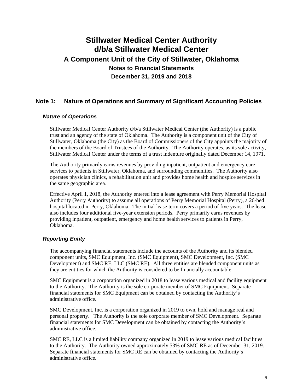## **Note 1: Nature of Operations and Summary of Significant Accounting Policies**

### *Nature of Operations*

Stillwater Medical Center Authority d/b/a Stillwater Medical Center (the Authority) is a public trust and an agency of the state of Oklahoma. The Authority is a component unit of the City of Stillwater, Oklahoma (the City) as the Board of Commissioners of the City appoints the majority of the members of the Board of Trustees of the Authority. The Authority operates, as its sole activity, Stillwater Medical Center under the terms of a trust indenture originally dated December 14, 1971.

The Authority primarily earns revenues by providing inpatient, outpatient and emergency care services to patients in Stillwater, Oklahoma, and surrounding communities. The Authority also operates physician clinics, a rehabilitation unit and provides home health and hospice services in the same geographic area.

Effective April 1, 2018, the Authority entered into a lease agreement with Perry Memorial Hospital Authority (Perry Authority) to assume all operations of Perry Memorial Hospital (Perry), a 26-bed hospital located in Perry, Oklahoma. The initial lease term covers a period of five years. The lease also includes four additional five-year extension periods. Perry primarily earns revenues by providing inpatient, outpatient, emergency and home health services to patients in Perry, Oklahoma.

### *Reporting Entity*

The accompanying financial statements include the accounts of the Authority and its blended component units, SMC Equipment, Inc. (SMC Equipment), SMC Development, Inc. (SMC Development) and SMC RE, LLC (SMC RE). All three entities are blended component units as they are entities for which the Authority is considered to be financially accountable.

SMC Equipment is a corporation organized in 2018 to lease various medical and facility equipment to the Authority. The Authority is the sole corporate member of SMC Equipment. Separate financial statements for SMC Equipment can be obtained by contacting the Authority's administrative office.

SMC Development, Inc. is a corporation organized in 2019 to own, hold and manage real and personal property. The Authority is the sole corporate member of SMC Development. Separate financial statements for SMC Development can be obtained by contacting the Authority's administrative office.

SMC RE, LLC is a limited liability company organized in 2019 to lease various medical facilities to the Authority. The Authority owned approximately 53% of SMC RE as of December 31, 2019. Separate financial statements for SMC RE can be obtained by contacting the Authority's administrative office.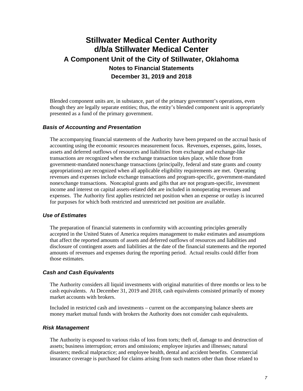Blended component units are, in substance, part of the primary government's operations, even though they are legally separate entities; thus, the entity's blended component unit is appropriately presented as a fund of the primary government.

### *Basis of Accounting and Presentation*

The accompanying financial statements of the Authority have been prepared on the accrual basis of accounting using the economic resources measurement focus. Revenues, expenses, gains, losses, assets and deferred outflows of resources and liabilities from exchange and exchange-like transactions are recognized when the exchange transaction takes place, while those from government-mandated nonexchange transactions (principally, federal and state grants and county appropriations) are recognized when all applicable eligibility requirements are met. Operating revenues and expenses include exchange transactions and program-specific, government-mandated nonexchange transactions. Noncapital grants and gifts that are not program-specific, investment income and interest on capital assets-related debt are included in nonoperating revenues and expenses. The Authority first applies restricted net position when an expense or outlay is incurred for purposes for which both restricted and unrestricted net position are available.

### *Use of Estimates*

The preparation of financial statements in conformity with accounting principles generally accepted in the United States of America requires management to make estimates and assumptions that affect the reported amounts of assets and deferred outflows of resources and liabilities and disclosure of contingent assets and liabilities at the date of the financial statements and the reported amounts of revenues and expenses during the reporting period. Actual results could differ from those estimates.

### *Cash and Cash Equivalents*

The Authority considers all liquid investments with original maturities of three months or less to be cash equivalents. At December 31, 2019 and 2018, cash equivalents consisted primarily of money market accounts with brokers.

Included in restricted cash and investments – current on the accompanying balance sheets are money market mutual funds with brokers the Authority does not consider cash equivalents.

#### *Risk Management*

The Authority is exposed to various risks of loss from torts; theft of, damage to and destruction of assets; business interruption; errors and omissions; employee injuries and illnesses; natural disasters; medical malpractice; and employee health, dental and accident benefits. Commercial insurance coverage is purchased for claims arising from such matters other than those related to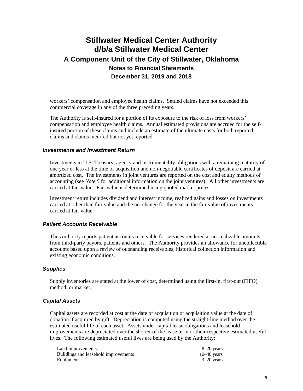workers' compensation and employee health claims. Settled claims have not exceeded this commercial coverage in any of the three preceding years.

The Authority is self-insured for a portion of its exposure to the risk of loss from workers' compensation and employee health claims. Annual estimated provisions are accrued for the selfinsured portion of these claims and include an estimate of the ultimate costs for both reported claims and claims incurred but not yet reported.

### *Investments and Investment Return*

Investments in U.S. Treasury, agency and instrumentality obligations with a remaining maturity of one year or less at the time of acquisition and non-negotiable certificates of deposit are carried at amortized cost. The investments in joint ventures are reported on the cost and equity methods of accounting (see *Note 5* for additional information on the joint ventures). All other investments are carried at fair value. Fair value is determined using quoted market prices.

Investment return includes dividend and interest income, realized gains and losses on investments carried at other than fair value and the net change for the year in the fair value of investments carried at fair value.

### *Patient Accounts Receivable*

The Authority reports patient accounts receivable for services rendered at net realizable amounts from third-party payors, patients and others. The Authority provides an allowance for uncollectible accounts based upon a review of outstanding receivables, historical collection information and existing economic conditions.

### *Supplies*

Supply inventories are stated at the lower of cost, determined using the first-in, first-out (FIFO) method, or market.

### *Capital Assets*

Capital assets are recorded at cost at the date of acquisition or acquisition value at the date of donation if acquired by gift. Depreciation is computed using the straight-line method over the estimated useful life of each asset. Assets under capital lease obligations and leasehold improvements are depreciated over the shorter of the lease term or their respective estimated useful lives. The following estimated useful lives are being used by the Authority:

| Land improvements                    | 8–20 years    |
|--------------------------------------|---------------|
| Buildings and leasehold improvements | $10-40$ years |
| Equipment                            | $3-20$ vears  |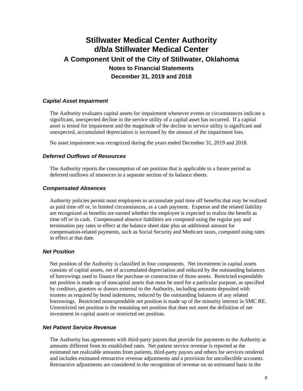### *Capital Asset Impairment*

The Authority evaluates capital assets for impairment whenever events or circumstances indicate a significant, unexpected decline in the service utility of a capital asset has occurred. If a capital asset is tested for impairment and the magnitude of the decline in service utility is significant and unexpected, accumulated depreciation is increased by the amount of the impairment loss.

No asset impairment was recognized during the years ended December 31, 2019 and 2018.

#### *Deferred Outflows of Resources*

The Authority reports the consumption of net position that is applicable to a future period as deferred outflows of resources in a separate section of its balance sheets.

### *Compensated Absences*

Authority policies permit most employees to accumulate paid time off benefits that may be realized as paid time off or, in limited circumstances, as a cash payment. Expense and the related liability are recognized as benefits are earned whether the employee is expected to realize the benefit as time off or in cash. Compensated absence liabilities are computed using the regular pay and termination pay rates in effect at the balance sheet date plus an additional amount for compensation-related payments, such as Social Security and Medicare taxes, computed using rates in effect at that date.

#### *Net Position*

Net position of the Authority is classified in four components. Net investment in capital assets consists of capital assets, net of accumulated depreciation and reduced by the outstanding balances of borrowings used to finance the purchase or construction of those assets. Restricted expendable net position is made up of noncapital assets that must be used for a particular purpose, as specified by creditors, grantors or donors external to the Authority, including amounts deposited with trustees as required by bond indentures, reduced by the outstanding balances of any related borrowings. Restricted nonexpendable net position is made up of the minority interest in SMC RE. Unrestricted net position is the remaining net position that does not meet the definition of net investment in capital assets or restricted net position.

### *Net Patient Service Revenue*

The Authority has agreements with third-party payors that provide for payments to the Authority at amounts different from its established rates. Net patient service revenue is reported at the estimated net realizable amounts from patients, third-party payors and others for services rendered and includes estimated retroactive revenue adjustments and a provision for uncollectible accounts. Retroactive adjustments are considered in the recognition of revenue on an estimated basis in the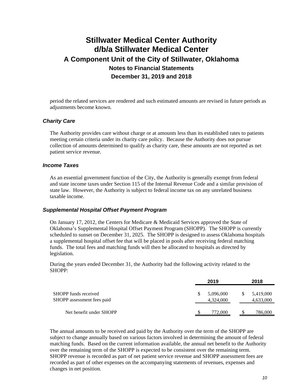period the related services are rendered and such estimated amounts are revised in future periods as adjustments become known.

### *Charity Care*

The Authority provides care without charge or at amounts less than its established rates to patients meeting certain criteria under its charity care policy. Because the Authority does not pursue collection of amounts determined to qualify as charity care, these amounts are not reported as net patient service revenue.

#### *Income Taxes*

As an essential government function of the City, the Authority is generally exempt from federal and state income taxes under Section 115 of the Internal Revenue Code and a similar provision of state law. However, the Authority is subject to federal income tax on any unrelated business taxable income.

### *Supplemental Hospital Offset Payment Program*

On January 17, 2012, the Centers for Medicare & Medicaid Services approved the State of Oklahoma's Supplemental Hospital Offset Payment Program (SHOPP). The SHOPP is currently scheduled to sunset on December 31, 2025. The SHOPP is designed to assess Oklahoma hospitals a supplemental hospital offset fee that will be placed in pools after receiving federal matching funds. The total fees and matching funds will then be allocated to hospitals as directed by legislation.

During the years ended December 31, the Authority had the following activity related to the SHOPP:

|                                                    | 2019                   |   | 2018                   |
|----------------------------------------------------|------------------------|---|------------------------|
| SHOPP funds received<br>SHOPP assessment fees paid | 5,096,000<br>4,324,000 | S | 5,419,000<br>4,633,000 |
| Net benefit under SHOPP                            | 772,000                |   | 786,000                |

The annual amounts to be received and paid by the Authority over the term of the SHOPP are subject to change annually based on various factors involved in determining the amount of federal matching funds. Based on the current information available, the annual net benefit to the Authority over the remaining term of the SHOPP is expected to be consistent over the remaining term. SHOPP revenue is recorded as part of net patient service revenue and SHOPP assessment fees are recorded as part of other expenses on the accompanying statements of revenues, expenses and changes in net position.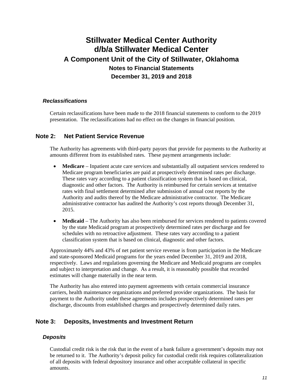### *Reclassifications*

Certain reclassifications have been made to the 2018 financial statements to conform to the 2019 presentation. The reclassifications had no effect on the changes in financial position.

### **Note 2: Net Patient Service Revenue**

The Authority has agreements with third-party payors that provide for payments to the Authority at amounts different from its established rates. These payment arrangements include:

- **Medicare** Inpatient acute care services and substantially all outpatient services rendered to Medicare program beneficiaries are paid at prospectively determined rates per discharge. These rates vary according to a patient classification system that is based on clinical, diagnostic and other factors. The Authority is reimbursed for certain services at tentative rates with final settlement determined after submission of annual cost reports by the Authority and audits thereof by the Medicare administrative contractor. The Medicare administrative contractor has audited the Authority's cost reports through December 31, 2015.
- **Medicaid** The Authority has also been reimbursed for services rendered to patients covered by the state Medicaid program at prospectively determined rates per discharge and fee schedules with no retroactive adjustment. These rates vary according to a patient classification system that is based on clinical, diagnostic and other factors.

Approximately 44% and 43% of net patient service revenue is from participation in the Medicare and state-sponsored Medicaid programs for the years ended December 31, 2019 and 2018, respectively. Laws and regulations governing the Medicare and Medicaid programs are complex and subject to interpretation and change. As a result, it is reasonably possible that recorded estimates will change materially in the near term.

The Authority has also entered into payment agreements with certain commercial insurance carriers, health maintenance organizations and preferred provider organizations. The basis for payment to the Authority under these agreements includes prospectively determined rates per discharge, discounts from established charges and prospectively determined daily rates.

### **Note 3: Deposits, Investments and Investment Return**

### *Deposits*

Custodial credit risk is the risk that in the event of a bank failure a government's deposits may not be returned to it. The Authority's deposit policy for custodial credit risk requires collateralization of all deposits with federal depository insurance and other acceptable collateral in specific amounts.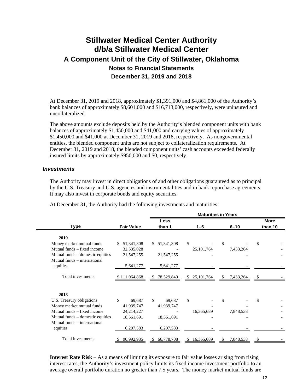At December 31, 2019 and 2018, approximately \$1,391,000 and \$4,861,000 of the Authority's bank balances of approximately \$8,601,000 and \$16,713,000, respectively, were uninsured and uncollateralized.

The above amounts exclude deposits held by the Authority's blended component units with bank balances of approximately \$1,450,000 and \$41,000 and carrying values of approximately \$1,450,000 and \$41,000 at December 31, 2019 and 2018, respectively. As nongovernmental entities, the blended component units are not subject to collateralization requirements. At December 31, 2019 and 2018, the blended component units' cash accounts exceeded federally insured limits by approximately \$950,000 and \$0, respectively.

### *Investments*

The Authority may invest in direct obligations of and other obligations guaranteed as to principal by the U.S. Treasury and U.S. agencies and instrumentalities and in bank repurchase agreements. It may also invest in corporate bonds and equity securities.

|                                  |                   |                  |                    | <b>Maturities in Years</b> |                        |
|----------------------------------|-------------------|------------------|--------------------|----------------------------|------------------------|
| <b>Type</b>                      | <b>Fair Value</b> | Less<br>than 1   | $1 - 5$            | $6 - 10$                   | <b>More</b><br>than 10 |
| 2019                             |                   |                  |                    |                            |                        |
| Money market mutual funds        | 51,341,308<br>S.  | 51,341,308<br>S. | \$                 | \$                         | \$                     |
| Mutual funds – fixed income      | 32,535,028        |                  | 25, 101, 764       | 7,433,264                  |                        |
| Mutual funds – domestic equities | 21,547,255        | 21,547,255       |                    |                            |                        |
| Mutual funds – international     |                   |                  |                    |                            |                        |
| equities                         | 5,641,277         | 5,641,277        |                    |                            |                        |
| Total investments                | \$111,064,868     | 78,529,840<br>S. | \$<br>25, 101, 764 | 7,433,264<br>S.            | -S                     |
| 2018                             |                   |                  |                    |                            |                        |
| U.S. Treasury obligations        | \$<br>69,687      | \$<br>69,687     | \$                 | \$                         | \$                     |
| Money market mutual funds        | 41,939,747        | 41,939,747       |                    |                            |                        |
| Mutual funds – fixed income      | 24, 214, 227      |                  | 16,365,689         | 7,848,538                  |                        |
| Mutual funds – domestic equities | 18,561,691        | 18,561,691       |                    |                            |                        |
| Mutual funds – international     |                   |                  |                    |                            |                        |
| equities                         | 6,207,583         | 6,207,583        |                    |                            |                        |
| Total investments                | 90,992,935        | 66,778,708       | 16,365,689         | 7,848,538                  |                        |

At December 31, the Authority had the following investments and maturities:

**Interest Rate Risk** – As a means of limiting its exposure to fair value losses arising from rising interest rates, the Authority's investment policy limits its fixed income investment portfolio to an average overall portfolio duration no greater than 7.5 years. The money market mutual funds are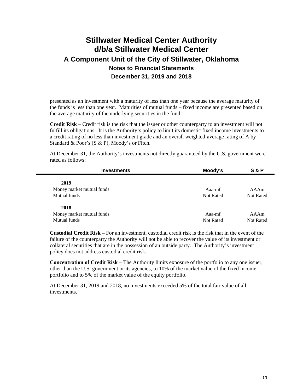presented as an investment with a maturity of less than one year because the average maturity of the funds is less than one year. Maturities of mutual funds – fixed income are presented based on the average maturity of the underlying securities in the fund.

**Credit Risk** – Credit risk is the risk that the issuer or other counterparty to an investment will not fulfill its obligations. It is the Authority's policy to limit its domestic fixed income investments to a credit rating of no less than investment grade and an overall weighted-average rating of A by Standard & Poor's (S & P), Moody's or Fitch.

At December 31, the Authority's investments not directly guaranteed by the U.S. government were rated as follows:

| <b>Investments</b>        | Moody's          | S & P            |  |
|---------------------------|------------------|------------------|--|
| 2019                      |                  |                  |  |
| Money market mutual funds | Aaa-mf           | AAAm             |  |
| Mutual funds              | <b>Not Rated</b> | <b>Not Rated</b> |  |
|                           |                  |                  |  |
| 2018                      |                  |                  |  |
| Money market mutual funds | Aaa-mf           | AAAm             |  |
| Mutual funds              | <b>Not Rated</b> | <b>Not Rated</b> |  |
|                           |                  |                  |  |

**Custodial Credit Risk** – For an investment, custodial credit risk is the risk that in the event of the failure of the counterparty the Authority will not be able to recover the value of its investment or collateral securities that are in the possession of an outside party. The Authority's investment policy does not address custodial credit risk.

**Concentration of Credit Risk** – The Authority limits exposure of the portfolio to any one issuer, other than the U.S. government or its agencies, to 10% of the market value of the fixed income portfolio and to 5% of the market value of the equity portfolio.

At December 31, 2019 and 2018, no investments exceeded 5% of the total fair value of all investments.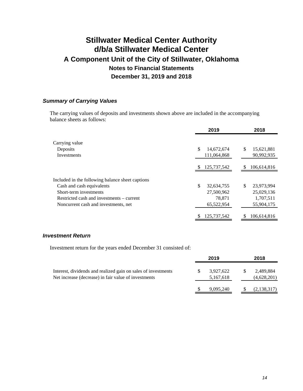### *Summary of Carrying Values*

The carrying values of deposits and investments shown above are included in the accompanying balance sheets as follows:

|                                                  | 2019                            | 2018                           |
|--------------------------------------------------|---------------------------------|--------------------------------|
| Carrying value<br>Deposits<br>Investments        | \$<br>14,672,674<br>111,064,868 | \$<br>15,621,881<br>90,992,935 |
|                                                  | 125,737,542<br>S                | 106,614,816<br>S.              |
| Included in the following balance sheet captions |                                 |                                |
| Cash and cash equivalents                        | \$<br>32,634,755                | S<br>23,973,994                |
| Short-term investments                           | 27,500,962                      | 25,029,136                     |
| Restricted cash and investments – current        | 78,871                          | 1,707,511                      |
| Noncurrent cash and investments, net             | 65,522,954                      | 55,904,175                     |
|                                                  | 125,737,542                     | 106,614,816                    |

#### *Investment Return*

Investment return for the years ended December 31 consisted of:

|                                                                                                                       |   | 2019                   |   | 2018                     |  |  |
|-----------------------------------------------------------------------------------------------------------------------|---|------------------------|---|--------------------------|--|--|
| Interest, dividends and realized gain on sales of investments<br>Net increase (decrease) in fair value of investments | S | 3,927,622<br>5,167,618 | S | 2,489,884<br>(4,628,201) |  |  |
|                                                                                                                       |   | 9,095,240              |   | (2,138,317)              |  |  |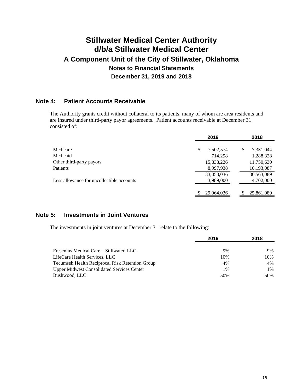## **Note 4: Patient Accounts Receivable**

The Authority grants credit without collateral to its patients, many of whom are area residents and are insured under third-party payor agreements. Patient accounts receivable at December 31 consisted of:

|                                           | 2019            | 2018            |
|-------------------------------------------|-----------------|-----------------|
| Medicare                                  | \$<br>7,502,574 | \$<br>7,331,044 |
| Medicaid                                  | 714,298         | 1,288,328       |
| Other third-party payors                  | 15,838,226      | 11,750,630      |
| <b>Patients</b>                           | 8,997,938       | 10,193,087      |
|                                           | 33,053,036      | 30,563,089      |
| Less allowance for uncollectible accounts | 3,989,000       | 4,702,000       |
|                                           |                 |                 |
|                                           | 29,064,036      | 25,861,089      |

### **Note 5: Investments in Joint Ventures**

The investments in joint ventures at December 31 relate to the following:

|                                                   | 2019 | 2018  |
|---------------------------------------------------|------|-------|
|                                                   |      |       |
| Fresenius Medical Care – Stillwater, LLC          | 9%   | 9%    |
| LifeCare Health Services, LLC                     | 10%  | 10%   |
| Tecumseh Health Reciprocal Risk Retention Group   | 4%   | 4%    |
| <b>Upper Midwest Consolidated Services Center</b> | 1%   | $1\%$ |
| Bushwood, LLC                                     | 50%  | 50%   |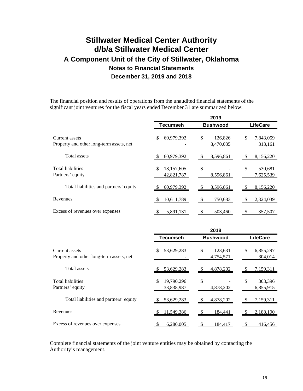The financial position and results of operations from the unaudited financial statements of the significant joint ventures for the fiscal years ended December 31 are summarized below:

|                                                            |                                    | 2019                       |                            |  |
|------------------------------------------------------------|------------------------------------|----------------------------|----------------------------|--|
|                                                            | <b>Tecumseh</b><br><b>Bushwood</b> |                            | <b>LifeCare</b>            |  |
| Current assets<br>Property and other long-term assets, net | \$<br>60,979,392                   | \$<br>126,826<br>8,470,035 | \$<br>7,843,059<br>313,161 |  |
| Total assets                                               | 60,979,392                         | 8,596,861<br>P.            | 8,156,220                  |  |
| <b>Total liabilities</b><br>Partners' equity               | \$<br>18,157,605<br>42,821,787     | \$<br>8,596,861            | \$<br>530,681<br>7,625,539 |  |
| Total liabilities and partners' equity                     | 60,979,392                         | 8,596,861                  | 8,156,220                  |  |
| Revenues                                                   | 10,611,789                         | 750,683                    | 2,324,039                  |  |
| Excess of revenues over expenses                           | <u>5,891,131</u>                   | 503,460                    | 357,507                    |  |
|                                                            |                                    | 2018                       |                            |  |

|                                                            | <b>Tecumseh</b>                | <b>Bushwood</b>            | <b>LifeCare</b>            |  |  |  |
|------------------------------------------------------------|--------------------------------|----------------------------|----------------------------|--|--|--|
| Current assets<br>Property and other long-term assets, net | 53,629,283<br>S                | \$<br>123,631<br>4,754,571 | \$<br>6,855,297<br>304,014 |  |  |  |
| Total assets                                               | 53,629,283                     | 4,878,202                  | 7,159,311                  |  |  |  |
| <b>Total liabilities</b><br>Partners' equity               | 19,790,296<br>\$<br>33,838,987 | \$<br>4,878,202            | \$<br>303,396<br>6,855,915 |  |  |  |
| Total liabilities and partners' equity                     | 53,629,283                     | 4,878,202                  | 7,159,311                  |  |  |  |
| Revenues                                                   | 11,549,386                     | 184.441                    | 2,188,190                  |  |  |  |
| Excess of revenues over expenses                           | 6,280,005                      | 184,417                    | 416,456                    |  |  |  |

Complete financial statements of the joint venture entities may be obtained by contacting the Authority's management.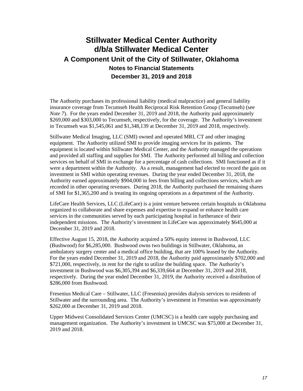The Authority purchases its professional liability (medical malpractice) and general liability insurance coverage from Tecumseh Health Reciprocal Risk Retention Group (Tecumseh) (see *Note 7*). For the years ended December 31, 2019 and 2018, the Authority paid approximately \$269,000 and \$303,000 to Tecumseh, respectively, for the coverage. The Authority's investment in Tecumseh was \$1,545,061 and \$1,348,139 at December 31, 2019 and 2018, respectively.

Stillwater Medical Imaging, LLC (SMI) owned and operated MRI, CT and other imaging equipment. The Authority utilized SMI to provide imaging services for its patients. The equipment is located within Stillwater Medical Center, and the Authority managed the operations and provided all staffing and supplies for SMI. The Authority performed all billing and collection services on behalf of SMI in exchange for a percentage of cash collections. SMI functioned as if it were a department within the Authority. As a result, management had elected to record the gain on investment in SMI within operating revenues. During the year ended December 31, 2018, the Authority earned approximately \$904,000 in fees from billing and collections services, which are recorded in other operating revenues. During 2018, the Authority purchased the remaining shares of SMI for \$1,365,200 and is treating its ongoing operations as a department of the Authority.

LifeCare Health Services, LLC (LifeCare) is a joint venture between certain hospitals in Oklahoma organized to collaborate and share expenses and expertise to expand or enhance health care services in the communities served by each participating hospital in furtherance of their independent missions. The Authority's investment in LifeCare was approximately \$645,000 at December 31, 2019 and 2018.

Effective August 15, 2018, the Authority acquired a 50% equity interest in Bushwood, LLC (Bushwood) for \$6,285,000. Bushwood owns two buildings in Stillwater, Oklahoma, an ambulatory surgery center and a medical office building, that are 100% leased by the Authority. For the years ended December 31, 2019 and 2018, the Authority paid approximately \$702,000 and \$721,000, respectively, in rent for the right to utilize the building space. The Authority's investment in Bushwood was \$6,305,394 and \$6,339,664 at December 31, 2019 and 2018, respectively. During the year ended December 31, 2019, the Authority received a distribution of \$286,000 from Bushwood.

Fresenius Medical Care – Stillwater, LLC (Fresenius) provides dialysis services to residents of Stillwater and the surrounding area. The Authority's investment in Fresenius was approximately \$262,000 at December 31, 2019 and 2018.

Upper Midwest Consolidated Services Center (UMCSC) is a health care supply purchasing and management organization. The Authority's investment in UMCSC was \$75,000 at December 31, 2019 and 2018.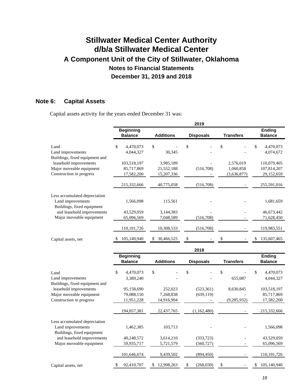## **Note 6: Capital Assets**

Capital assets activity for the years ended December 31 was:

|                                                                                  |                                         |                                       | 2019                     |                                       |                                          |
|----------------------------------------------------------------------------------|-----------------------------------------|---------------------------------------|--------------------------|---------------------------------------|------------------------------------------|
|                                                                                  | <b>Beginning</b><br><b>Balance</b>      | <b>Additions</b>                      | <b>Disposals</b>         | <b>Transfers</b>                      | <b>Ending</b><br><b>Balance</b>          |
| Land<br>Land improvements<br>Buildings, fixed equipment and                      | 4,470,073<br>\$<br>4,044,327            | \$<br>30,345                          | \$                       | \$                                    | \$<br>4,470,073<br>4,074,672             |
| leasehold improvements<br>Major moveable equipment<br>Construction in progress   | 103,518,197<br>85,717,869<br>17,582,200 | 3,985,189<br>21,552,188<br>15,207,336 | (516, 708)               | 2,576,019<br>1,060,858<br>(3,636,877) | 110,079,405<br>107,814,207<br>29,152,659 |
|                                                                                  | 215,332,666                             | 40,775,058                            | (516,708)                |                                       | 255,591,016                              |
| Less accumulated depreciation<br>Land improvements<br>Buildings, fixed equipment | 1,566,098                               | 115,561                               |                          |                                       | 1,681,659                                |
| and leasehold improvements<br>Major moveable equipment                           | 43,529,059<br>65,096,569                | 3,144,383<br>7,048,589                | (516,708)                |                                       | 46,673,442<br>71,628,450                 |
|                                                                                  | 110,191,726                             | 10,308,533                            | (516,708)                |                                       | 119,983,551                              |
| Capital assets, net                                                              | 105,140,940                             | 30,466,525                            |                          |                                       | 135,607,465                              |
|                                                                                  |                                         |                                       | 2018                     |                                       |                                          |
|                                                                                  | <b>Beginning</b><br><b>Balance</b>      | <b>Additions</b>                      | <b>Disposals</b>         | <b>Transfers</b>                      | <b>Ending</b><br><b>Balance</b>          |
| Land<br>Land improvements<br>Buildings, fixed equipment and                      | \$<br>4,470,073<br>3,389,240            | \$                                    | \$                       | \$<br>655,087                         | \$<br>4,470,073<br>4,044,327             |
| leasehold improvements<br>Major moveable equipment<br>Construction in progress   | 95,158,690<br>79,088,150<br>11,951,228  | 252,023<br>7,268,838<br>14,916,904    | (523, 361)<br>(639, 119) | 8,630,845<br>(9, 285, 932)            | 103,518,197<br>85,717,869<br>17,582,200  |
|                                                                                  | 194,057,381                             | 22,437,765                            | (1,162,480)              |                                       | 215,332,666                              |
| Less accumulated depreciation<br>Land improvements<br>Buildings, fixed equipment | 1,462,385                               | 103,713                               |                          |                                       | 1,566,098                                |
| and leasehold improvements<br>Major moveable equipment                           | 40,248,572<br>59,935,717                | 3,614,210<br>5,721,579                | (333, 723)<br>(560, 727) |                                       | 43,529,059<br>65,096,569                 |
|                                                                                  | 101,646,674                             | 9,439,502                             | (894, 450)               |                                       | 110, 191, 726                            |
| Capital assets, net                                                              | 92,410,707<br>\$                        | 12,998,263                            | (268,030)<br>\$          | \$                                    | 105,140,940<br>\$                        |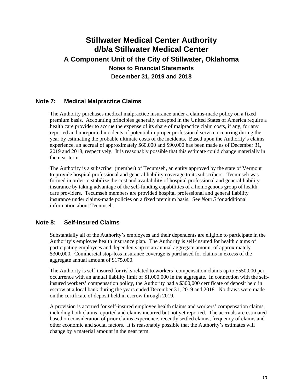## **Note 7: Medical Malpractice Claims**

The Authority purchases medical malpractice insurance under a claims-made policy on a fixed premium basis. Accounting principles generally accepted in the United States of America require a health care provider to accrue the expense of its share of malpractice claim costs, if any, for any reported and unreported incidents of potential improper professional service occurring during the year by estimating the probable ultimate costs of the incidents. Based upon the Authority's claims experience, an accrual of approximately \$60,000 and \$90,000 has been made as of December 31, 2019 and 2018, respectively. It is reasonably possible that this estimate could change materially in the near term.

The Authority is a subscriber (member) of Tecumseh, an entity approved by the state of Vermont to provide hospital professional and general liability coverage to its subscribers. Tecumseh was formed in order to stabilize the cost and availability of hospital professional and general liability insurance by taking advantage of the self-funding capabilities of a homogenous group of health care providers. Tecumseh members are provided hospital professional and general liability insurance under claims-made policies on a fixed premium basis. See *Note 5* for additional information about Tecumseh.

## **Note 8: Self-Insured Claims**

Substantially all of the Authority's employees and their dependents are eligible to participate in the Authority's employee health insurance plan. The Authority is self-insured for health claims of participating employees and dependents up to an annual aggregate amount of approximately \$300,000. Commercial stop-loss insurance coverage is purchased for claims in excess of the aggregate annual amount of \$175,000.

The Authority is self-insured for risks related to workers' compensation claims up to \$550,000 per occurrence with an annual liability limit of \$1,000,000 in the aggregate. In connection with the selfinsured workers' compensation policy, the Authority had a \$300,000 certificate of deposit held in escrow at a local bank during the years ended December 31, 2019 and 2018. No draws were made on the certificate of deposit held in escrow through 2019.

A provision is accrued for self-insured employee health claims and workers' compensation claims, including both claims reported and claims incurred but not yet reported. The accruals are estimated based on consideration of prior claims experience, recently settled claims, frequency of claims and other economic and social factors. It is reasonably possible that the Authority's estimates will change by a material amount in the near term.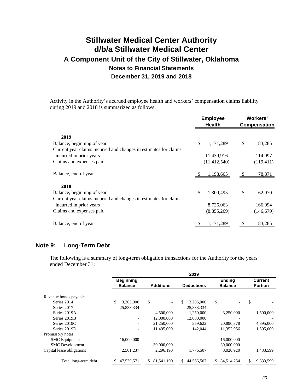Activity in the Authority's accrued employee health and workers' compensation claims liability during 2019 and 2018 is summarized as follows:

|                                                                  |    | <b>Employee</b><br><b>Health</b> |                           | Workers'<br><b>Compensation</b> |  |
|------------------------------------------------------------------|----|----------------------------------|---------------------------|---------------------------------|--|
| 2019                                                             |    |                                  |                           |                                 |  |
| Balance, beginning of year                                       | \$ | 1,171,289                        | \$                        | 83,285                          |  |
| Current year claims incurred and changes in estimates for claims |    |                                  |                           |                                 |  |
| incurred in prior years                                          |    | 11,439,916                       |                           | 114,997                         |  |
| Claims and expenses paid                                         |    | (11, 412, 540)                   |                           | (119, 411)                      |  |
| Balance, end of year                                             |    | 1,198,665                        |                           | 78,871                          |  |
| 2018                                                             |    |                                  |                           |                                 |  |
| Balance, beginning of year                                       | \$ | 1.300.495                        | $\boldsymbol{\mathsf{S}}$ | 62,970                          |  |
| Current year claims incurred and changes in estimates for claims |    |                                  |                           |                                 |  |
| incurred in prior years                                          |    | 8,726,063                        |                           | 166,994                         |  |
| Claims and expenses paid                                         |    | (8,855,269)                      |                           | (146, 679)                      |  |
| Balance, end of year                                             |    | 1,171,289                        |                           | 83,285                          |  |

### **Note 9: Long-Term Debt**

The following is a summary of long-term obligation transactions for the Authority for the years ended December 31:

|                           |                                    |                  | 2019              |                                 |                                  |
|---------------------------|------------------------------------|------------------|-------------------|---------------------------------|----------------------------------|
|                           | <b>Beginning</b><br><b>Balance</b> | <b>Additions</b> | <b>Deductions</b> | <b>Ending</b><br><b>Balance</b> | <b>Current</b><br><b>Portion</b> |
| Revenue bonds payable     |                                    |                  |                   |                                 |                                  |
| Series 2014               | \$<br>3,205,000                    | \$               | \$<br>3,205,000   | \$                              | \$                               |
| Series 2017               | 25,833,334                         |                  | 25,833,334        |                                 |                                  |
| Series 2019A              |                                    | 4,500,000        | 1.250.000         | 3.250,000                       | 1,500,000                        |
| Series 2019B              |                                    | 12,000,000       | 12,000,000        |                                 |                                  |
| Series 2019C              |                                    | 21,250,000       | 359.622           | 20,890,378                      | 4,895,000                        |
| Series 2019D              |                                    | 11,495,000       | 142,044           | 11,352,956                      | 1,505,000                        |
| Promissory notes          |                                    |                  |                   |                                 |                                  |
| <b>SMC</b> Equipment      | 16,000,000                         |                  |                   | 16,000,000                      |                                  |
| <b>SMC</b> Development    |                                    | 30,000,000       |                   | 30,000,000                      |                                  |
| Capital lease obligations | 2,501,237                          | 2,296,190        | 1,776,507         | 3,020,920                       | 1,433,599                        |
| Total long-term debt      | 47,539,571                         | 81,541,190<br>S  | 44,566,507<br>S   | 84,514,254<br>S                 | 9,333,599                        |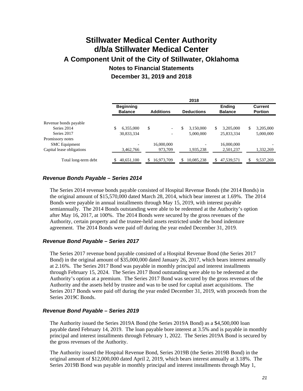|                           |                                    |                                | 2018              |                                 |                           |
|---------------------------|------------------------------------|--------------------------------|-------------------|---------------------------------|---------------------------|
|                           | <b>Beginning</b><br><b>Balance</b> | <b>Additions</b>               | <b>Deductions</b> | <b>Ending</b><br><b>Balance</b> | Current<br><b>Portion</b> |
| Revenue bonds payable     |                                    |                                |                   |                                 |                           |
| Series 2014               | 6.355,000                          | \$<br>$\overline{\phantom{0}}$ | \$<br>3.150,000   | \$<br>3.205.000                 | \$<br>3,205,000           |
| Series 2017               | 30,833,334                         |                                | 5,000,000         | 25,833,334                      | 5,000,000                 |
| Promissory notes          |                                    |                                |                   |                                 |                           |
| <b>SMC</b> Equipment      | -                                  | 16,000,000                     |                   | 16,000,000                      |                           |
| Capital lease obligations | 3,462,766                          | 973,709                        | 1,935,238         | 2,501,237                       | 1,332,269                 |
| Total long-term debt      | 40,651,100                         | 16,973,709                     | 10,085,238        | 47,539,571<br>S                 | 9,537,269                 |

### *Revenue Bonds Payable – Series 2014*

The Series 2014 revenue bonds payable consisted of Hospital Revenue Bonds (the 2014 Bonds) in the original amount of \$15,570,000 dated March 28, 2014, which bear interest at 1.69%. The 2014 Bonds were payable in annual installments through May 15, 2019, with interest payable semiannually. The 2014 Bonds outstanding were able to be redeemed at the Authority's option after May 16, 2017, at 100%. The 2014 Bonds were secured by the gross revenues of the Authority, certain property and the trustee-held assets restricted under the bond indenture agreement. The 2014 Bonds were paid off during the year ended December 31, 2019.

### *Revenue Bond Payable – Series 2017*

The Series 2017 revenue bond payable consisted of a Hospital Revenue Bond (the Series 2017 Bond) in the original amount of \$35,000,000 dated January 26, 2017, which bears interest annually at 2.16%. The Series 2017 Bond was payable in monthly principal and interest installments through February 15, 2024. The Series 2017 Bond outstanding were able to be redeemed at the Authority's option at a premium. The Series 2017 Bond was secured by the gross revenues of the Authority and the assets held by trustee and was to be used for capital asset acquisitions. The Series 2017 Bonds were paid off during the year ended December 31, 2019, with proceeds from the Series 2019C Bonds.

### *Revenue Bond Payable – Series 2019*

The Authority issued the Series 2019A Bond (the Series 2019A Bond) as a \$4,500,000 loan payable dated February 14, 2019. The loan payable bore interest at 3.5% and is payable in monthly principal and interest installments through February 1, 2022. The Series 2019A Bond is secured by the gross revenues of the Authority.

The Authority issued the Hospital Revenue Bond, Series 2019B (the Series 2019B Bond) in the original amount of \$12,000,000 dated April 2, 2019, which bears interest annually at 3.18%. The Series 2019B Bond was payable in monthly principal and interest installments through May 1,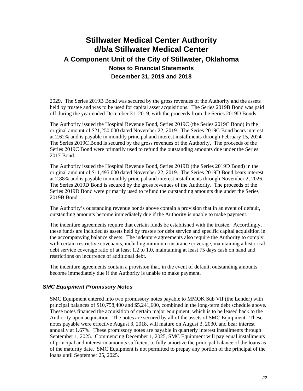2029. The Series 2019B Bond was secured by the gross revenues of the Authority and the assets held by trustee and was to be used for capital asset acquisitions. The Series 2019B Bond was paid off during the year ended December 31, 2019, with the proceeds from the Series 2019D Bonds.

The Authority issued the Hospital Revenue Bond, Series 2019C (the Series 2019C Bond) in the original amount of \$21,250,000 dated November 22, 2019. The Series 2019C Bond bears interest at 2.62% and is payable in monthly principal and interest installments through February 15, 2024. The Series 2019C Bond is secured by the gross revenues of the Authority. The proceeds of the Series 2019C Bond were primarily used to refund the outstanding amounts due under the Series 2017 Bond.

The Authority issued the Hospital Revenue Bond, Series 2019D (the Series 2019D Bond) in the original amount of \$11,495,000 dated November 22, 2019. The Series 2019D Bond bears interest at 2.88% and is payable in monthly principal and interest installments through November 2, 2026. The Series 2019D Bond is secured by the gross revenues of the Authority. The proceeds of the Series 2019D Bond were primarily used to refund the outstanding amounts due under the Series 2019B Bond.

The Authority's outstanding revenue bonds above contain a provision that in an event of default, outstanding amounts become immediately due if the Authority is unable to make payment.

The indenture agreements require that certain funds be established with the trustee. Accordingly, these funds are included as assets held by trustee for debt service and specific capital acquisition in the accompanying balance sheets. The indenture agreements also require the Authority to comply with certain restrictive covenants, including minimum insurance coverage, maintaining a historical debt service coverage ratio of at least 1.2 to 1.0, maintaining at least 75 days cash on hand and restrictions on incurrence of additional debt.

The indenture agreements contain a provision that, in the event of default, outstanding amounts become immediately due if the Authority is unable to make payment.

### *SMC Equipment Promissory Notes*

SMC Equipment entered into two promissory notes payable to MMOK Sub VII (the Lender) with principal balances of \$10,758,400 and \$5,241,600, combined in the long-term debt schedule above. These notes financed the acquisition of certain major equipment, which is to be leased back to the Authority upon acquisition. The notes are secured by all of the assets of SMC Equipment. These notes payable were effective August 3, 2018, will mature on August 3, 2030, and bear interest annually at 1.67%. These promissory notes are payable in quarterly interest installments through September 1, 2025. Commencing December 1, 2025, SMC Equipment will pay equal installments of principal and interest in amounts sufficient to fully amortize the principal balance of the loans as of the maturity date. SMC Equipment is not permitted to prepay any portion of the principal of the loans until September 25, 2025.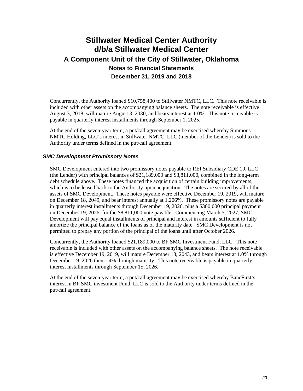Concurrently, the Authority loaned \$10,758,400 to Stillwater NMTC, LLC. This note receivable is included with other assets on the accompanying balance sheets. The note receivable is effective August 3, 2018, will mature August 3, 2030, and bears interest at 1.0%. This note receivable is payable in quarterly interest installments through September 1, 2025.

At the end of the seven-year term, a put/call agreement may be exercised whereby Simmons NMTC Holding, LLC's interest in Stillwater NMTC, LLC (member of the Lender) is sold to the Authority under terms defined in the put/call agreement.

### *SMC Development Promissory Notes*

SMC Development entered into two promissory notes payable to REI Subsidiary CDE 19, LLC (the Lender) with principal balances of \$21,189,000 and \$8,811,000, combined in the long-term debt schedule above. These notes financed the acquisition of certain building improvements, which is to be leased back to the Authority upon acquisition. The notes are secured by all of the assets of SMC Development. These notes payable were effective December 19, 2019, will mature on December 18, 2049, and bear interest annually at 1.206%. These promissory notes are payable in quarterly interest installments through December 19, 2026, plus a \$300,000 principal payment on December 19, 2026, for the \$8,811,000 note payable. Commencing March 5, 2027, SMC Development will pay equal installments of principal and interest in amounts sufficient to fully amortize the principal balance of the loans as of the maturity date. SMC Development is not permitted to prepay any portion of the principal of the loans until after October 2026.

Concurrently, the Authority loaned \$21,189,000 to BF SMC Investment Fund, LLC. This note receivable is included with other assets on the accompanying balance sheets. The note receivable is effective December 19, 2019, will mature December 18, 2043, and bears interest at 1.0% through December 19, 2026 then 1.4% through maturity. This note receivable is payable in quarterly interest installments through September 15, 2026.

At the end of the seven-year term, a put/call agreement may be exercised whereby BancFirst's interest in BF SMC investment Fund, LLC is sold to the Authority under terms defined in the put/call agreement.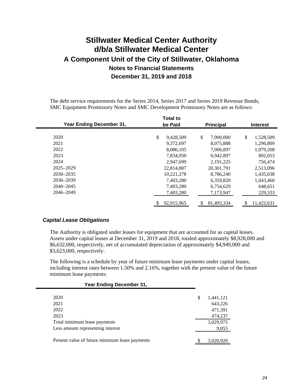The debt service requirements for the Series 2014, Series 2017 and Series 2019 Revenue Bonds, SMC Equipment Promissory Notes and SMC Development Promissory Notes are as follows:

| Year Ending December 31, |    | <b>Total to</b><br>be Paid |    | <b>Principal</b> | <b>Interest</b> |
|--------------------------|----|----------------------------|----|------------------|-----------------|
|                          |    |                            |    |                  |                 |
| 2020                     | \$ | 9,428,509                  | \$ | 7,900,000        | \$<br>1,528,509 |
| 2021                     |    | 9.372.697                  |    | 8,075,888        | 1,296,809       |
| 2022                     |    | 8,086,105                  |    | 7,006,897        | 1,079,208       |
| 2023                     |    | 7,834,950                  |    | 6,942,897        | 892,053         |
| 2024                     |    | 2.947.699                  |    | 2, 191, 225      | 756,474         |
| $2025 - 2029$            |    | 22.814.887                 |    | 20, 301, 791     | 2,513,096       |
| 2030-2035                |    | 10,221,278                 |    | 8,786,240        | 1,435,038       |
| 2036-2039                |    | 7,403,280                  |    | 6,359,820        | 1,043,460       |
| $2040 - 2045$            |    | 7,403,280                  |    | 6,754,629        | 648,651         |
| 2046-2049                |    | 7,403,280                  |    | 7,173,947        | 229,333         |
|                          |    | 92.915.965                 | S  | 81.493.334       | 11.422.631      |

### *Capital Lease Obligations*

The Authority is obligated under leases for equipment that are accounted for as capital leases. Assets under capital leases at December 31, 2019 and 2018, totaled approximately \$8,928,000 and \$6,632,000, respectively, net of accumulated depreciation of approximately \$4,949,000 and \$3,623,000, respectively.

The following is a schedule by year of future minimum lease payments under capital leases, including interest rates between 1.50% and 2.16%, together with the present value of the future minimum lease payments:

| 2020                                           | \$<br>1,441,121 |
|------------------------------------------------|-----------------|
| 2021                                           | 643,226         |
| 2022                                           | 471,391         |
| 2023                                           | 474,237         |
| Total minimum lease payments                   | 3,029,975       |
| Less amount representing interest              | 9,055           |
|                                                |                 |
| Present value of future minimum lease payments | 3,020,920       |
|                                                |                 |

**Year Ending December 31,**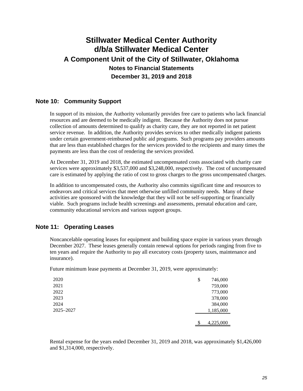## **Note 10: Community Support**

In support of its mission, the Authority voluntarily provides free care to patients who lack financial resources and are deemed to be medically indigent. Because the Authority does not pursue collection of amounts determined to qualify as charity care, they are not reported in net patient service revenue. In addition, the Authority provides services to other medically indigent patients under certain government-reimbursed public aid programs. Such programs pay providers amounts that are less than established charges for the services provided to the recipients and many times the payments are less than the cost of rendering the services provided.

At December 31, 2019 and 2018, the estimated uncompensated costs associated with charity care services were approximately \$3,537,000 and \$3,248,000, respectively. The cost of uncompensated care is estimated by applying the ratio of cost to gross charges to the gross uncompensated charges.

In addition to uncompensated costs, the Authority also commits significant time and resources to endeavors and critical services that meet otherwise unfilled community needs. Many of these activities are sponsored with the knowledge that they will not be self-supporting or financially viable. Such programs include health screenings and assessments, prenatal education and care, community educational services and various support groups.

## **Note 11: Operating Leases**

Noncancelable operating leases for equipment and building space expire in various years through December 2027. These leases generally contain renewal options for periods ranging from five to ten years and require the Authority to pay all executory costs (property taxes, maintenance and insurance).

Future minimum lease payments at December 31, 2019, were approximately:

| 2020      | \$<br>746,000 |  |
|-----------|---------------|--|
| 2021      | 759,000       |  |
| 2022      | 773,000       |  |
| 2023      | 378,000       |  |
| 2024      | 384,000       |  |
| 2025-2027 | 1,185,000     |  |
|           |               |  |
|           | 4,225,000     |  |

Rental expense for the years ended December 31, 2019 and 2018, was approximately \$1,426,000 and \$1,314,000, respectively.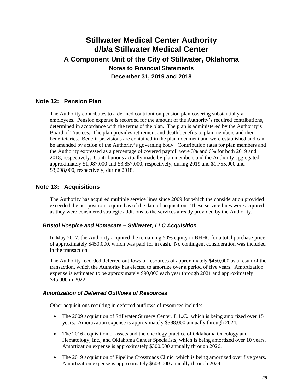## **Note 12: Pension Plan**

The Authority contributes to a defined contribution pension plan covering substantially all employees. Pension expense is recorded for the amount of the Authority's required contributions, determined in accordance with the terms of the plan. The plan is administered by the Authority's Board of Trustees. The plan provides retirement and death benefits to plan members and their beneficiaries. Benefit provisions are contained in the plan document and were established and can be amended by action of the Authority's governing body. Contribution rates for plan members and the Authority expressed as a percentage of covered payroll were 3% and 6% for both 2019 and 2018, respectively. Contributions actually made by plan members and the Authority aggregated approximately \$1,987,000 and \$3,857,000, respectively, during 2019 and \$1,755,000 and \$3,298,000, respectively, during 2018.

### **Note 13: Acquisitions**

The Authority has acquired multiple service lines since 2009 for which the consideration provided exceeded the net position acquired as of the date of acquisition. These service lines were acquired as they were considered strategic additions to the services already provided by the Authority.

### *Bristol Hospice and Homecare – Stillwater, LLC Acquisition*

In May 2017, the Authority acquired the remaining 50% equity in BHHC for a total purchase price of approximately \$450,000, which was paid for in cash. No contingent consideration was included in the transaction.

The Authority recorded deferred outflows of resources of approximately \$450,000 as a result of the transaction, which the Authority has elected to amortize over a period of five years. Amortization expense is estimated to be approximately \$90,000 each year through 2021 and approximately \$45,000 in 2022.

### *Amortization of Deferred Outflows of Resources*

Other acquisitions resulting in deferred outflows of resources include:

- The 2009 acquisition of Stillwater Surgery Center, L.L.C., which is being amortized over 15 years. Amortization expense is approximately \$388,000 annually through 2024.
- The 2016 acquisition of assets and the oncology practice of Oklahoma Oncology and Hematology, Inc., and Oklahoma Cancer Specialists, which is being amortized over 10 years. Amortization expense is approximately \$300,000 annually through 2026.
- The 2019 acquisition of Pipeline Crossroads Clinic, which is being amortized over five years. Amortization expense is approximately \$603,000 annually through 2024.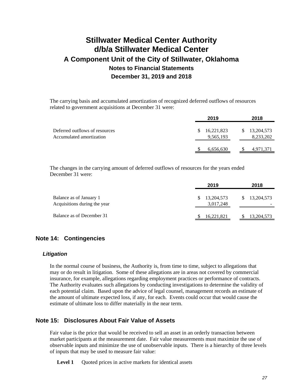The carrying basis and accumulated amortization of recognized deferred outflows of resources related to government acquisitions at December 31 were:

|                                                            | 2019 |                         | 2018                         |
|------------------------------------------------------------|------|-------------------------|------------------------------|
| Deferred outflows of resources<br>Accumulated amortization | \$.  | 16,221,823<br>9,565,193 | 13,204,573<br>S<br>8,233,202 |
|                                                            |      | 6,656,630               | 4,971,371                    |

The changes in the carrying amount of deferred outflows of resources for the years ended December 31 were:

|                                                         | 2019                    | 2018              |
|---------------------------------------------------------|-------------------------|-------------------|
| Balance as of January 1<br>Acquisitions during the year | 13,204,573<br>3,017,248 | 13,204,573<br>SS. |
| Balance as of December 31                               | 16,221,821              | 13, 204, 573      |

### **Note 14: Contingencies**

#### *Litigation*

In the normal course of business, the Authority is, from time to time, subject to allegations that may or do result in litigation. Some of these allegations are in areas not covered by commercial insurance, for example, allegations regarding employment practices or performance of contracts. The Authority evaluates such allegations by conducting investigations to determine the validity of each potential claim. Based upon the advice of legal counsel, management records an estimate of the amount of ultimate expected loss, if any, for each. Events could occur that would cause the estimate of ultimate loss to differ materially in the near term.

## **Note 15: Disclosures About Fair Value of Assets**

Fair value is the price that would be received to sell an asset in an orderly transaction between market participants at the measurement date. Fair value measurements must maximize the use of observable inputs and minimize the use of unobservable inputs. There is a hierarchy of three levels of inputs that may be used to measure fair value:

**Level 1** Ouoted prices in active markets for identical assets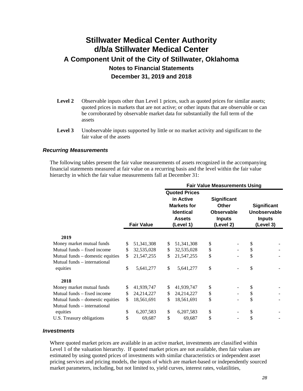- Level 2 Observable inputs other than Level 1 prices, such as quoted prices for similar assets; quoted prices in markets that are not active; or other inputs that are observable or can be corroborated by observable market data for substantially the full term of the assets
- **Level 3** Unobservable inputs supported by little or no market activity and significant to the fair value of the assets

### *Recurring Measurements*

The following tables present the fair value measurements of assets recognized in the accompanying financial statements measured at fair value on a recurring basis and the level within the fair value hierarchy in which the fair value measurements fall at December 31:

|                                  |                    | <b>Fair Value Measurements Using</b> |                      |    |                    |    |               |
|----------------------------------|--------------------|--------------------------------------|----------------------|----|--------------------|----|---------------|
|                                  |                    |                                      | <b>Quoted Prices</b> |    |                    |    |               |
|                                  |                    |                                      | in Active            |    | <b>Significant</b> |    |               |
|                                  |                    |                                      | <b>Markets for</b>   |    | <b>Other</b>       |    | Significant   |
|                                  |                    |                                      | <b>Identical</b>     |    | <b>Observable</b>  |    | Unobservable  |
|                                  |                    |                                      | <b>Assets</b>        |    | <b>Inputs</b>      |    | <b>Inputs</b> |
|                                  | <b>Fair Value</b>  |                                      | (Level 1)            |    | (Level 2)          |    | (Level 3)     |
| 2019                             |                    |                                      |                      |    |                    |    |               |
|                                  |                    |                                      |                      |    |                    |    |               |
| Money market mutual funds        | \$<br>51, 341, 308 | \$                                   | 51, 341, 308         | \$ |                    | \$ |               |
| Mutual funds - fixed income      | \$<br>32,535,028   | \$                                   | 32,535,028           | \$ |                    | \$ |               |
| Mutual funds – domestic equities | \$<br>21,547,255   | \$                                   | 21,547,255           | \$ |                    | \$ |               |
| Mutual funds - international     |                    |                                      |                      |    |                    |    |               |
| equities                         | \$<br>5,641,277    | \$                                   | 5,641,277            | \$ |                    | \$ |               |
| 2018                             |                    |                                      |                      |    |                    |    |               |
| Money market mutual funds        | \$<br>41,939,747   | \$                                   | 41,939,747           | \$ |                    | \$ |               |
| Mutual funds – fixed income      | \$<br>24,214,227   | \$                                   | 24,214,227           | \$ |                    | \$ |               |
| Mutual funds – domestic equities | \$<br>18,561,691   | \$                                   | 18,561,691           | \$ |                    | \$ |               |
| Mutual funds – international     |                    |                                      |                      |    |                    |    |               |
| equities                         | \$<br>6,207,583    | \$                                   | 6,207,583            | \$ |                    | \$ |               |
| U.S. Treasury obligations        | \$<br>69,687       | \$                                   | 69,687               | \$ |                    | \$ |               |

#### *Investments*

Where quoted market prices are available in an active market, investments are classified within Level 1 of the valuation hierarchy. If quoted market prices are not available, then fair values are estimated by using quoted prices of investments with similar characteristics or independent asset pricing services and pricing models, the inputs of which are market-based or independently sourced market parameters, including, but not limited to, yield curves, interest rates, volatilities,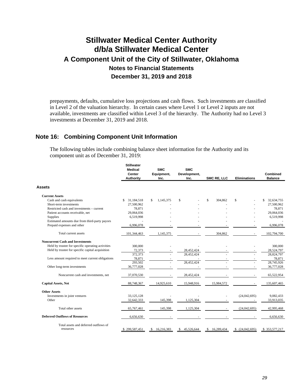prepayments, defaults, cumulative loss projections and cash flows. Such investments are classified in Level 2 of the valuation hierarchy. In certain cases where Level 1 or Level 2 inputs are not available, investments are classified within Level 3 of the hierarchy. The Authority had no Level 3 investments at December 31, 2019 and 2018.

### **Note 16: Combining Component Unit Information**

The following tables include combining balance sheet information for the Authority and its component unit as of December 31, 2019:

|                                                    | <b>Stillwater</b><br><b>Medical</b><br>Center<br><b>Authority</b> | <b>SMC</b><br>Equipment,<br>Inc. | <b>SMC</b><br>Development,<br>Inc. | SMC RE, LLC             | <b>Eliminations</b> | Combined<br><b>Balance</b> |
|----------------------------------------------------|-------------------------------------------------------------------|----------------------------------|------------------------------------|-------------------------|---------------------|----------------------------|
| <b>Assets</b>                                      |                                                                   |                                  |                                    |                         |                     |                            |
| <b>Current Assets</b>                              |                                                                   |                                  |                                    |                         |                     |                            |
| Cash and cash equivalents                          | 31.184.518<br>\$                                                  | S<br>1,145,375                   | S                                  | $\mathbb{S}$<br>304,862 | S                   | 32,634,755<br>S            |
| Short-term investments                             | 27,500,962                                                        |                                  |                                    |                         |                     | 27,500,962                 |
| Restricted cash and investments – current          | 78,871                                                            |                                  |                                    |                         |                     | 78,871                     |
| Patient accounts receivable, net                   | 29,064,036                                                        |                                  |                                    |                         |                     | 29,064,036                 |
| Supplies                                           | 6,519,998                                                         |                                  |                                    |                         |                     | 6,519,998                  |
| Estimated amounts due from third-party payors      |                                                                   |                                  |                                    |                         |                     |                            |
| Prepaid expenses and other                         | 6,996,078                                                         |                                  |                                    |                         |                     | 6,996,078                  |
| Total current assets                               | 101,344,463                                                       | 1,145,375                        |                                    | 304,862                 |                     | 102,794,700                |
| <b>Noncurrent Cash and Investments</b>             |                                                                   |                                  |                                    |                         |                     |                            |
| Held by trustee for specific operating activities  | 300,000                                                           |                                  |                                    |                         |                     | 300,000                    |
| Held by trustee for specific capital acquisition   | 72,373                                                            |                                  | 28,452,424                         |                         |                     | 28,524,797                 |
|                                                    | 372,373                                                           |                                  | 28,452,424                         |                         |                     | 28,824,797                 |
| Less amount required to meet current obligations   | 78,871                                                            |                                  |                                    |                         |                     | 78,871                     |
|                                                    | 293,502                                                           |                                  | 28,452,424                         |                         |                     | 28,745,926                 |
| Other long-term investments                        | 36,777,028                                                        |                                  |                                    |                         |                     | 36,777,028                 |
| Noncurrent cash and investments, net               | 37,070,530                                                        |                                  | 28,452,424                         |                         |                     | 65,522,954                 |
| <b>Capital Assets, Net</b>                         | 88,748,367                                                        | 14,925,610                       | 15,948,916                         | 15,984,572              |                     | 135,607,465                |
| <b>Other Assets</b>                                |                                                                   |                                  |                                    |                         |                     |                            |
| Investments in joint ventures                      | 33,125,128                                                        |                                  |                                    |                         | (24,042,695)        | 9,082,433                  |
| Other                                              | 32,642,333                                                        | 145,398                          | 1,125,304                          |                         |                     | 33,913,035                 |
| Total other assets                                 | 65,767,461                                                        | 145,398                          | 1,125,304                          |                         | (24,042,695)        | 42,995,468                 |
| <b>Deferred Outflows of Resources</b>              | 6,656,630                                                         |                                  |                                    |                         |                     | 6,656,630                  |
| Total assets and deferred outflows of<br>resources |                                                                   |                                  |                                    |                         |                     |                            |
|                                                    | \$299,587,451                                                     | 16,216,383<br>\$                 | 45,526,644<br>S                    | 16,289,434<br>\$        | (24,042,695)        | \$353,577,217              |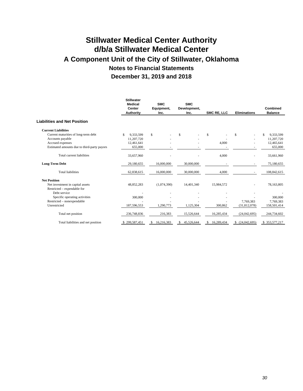|                                             | <b>Stillwater</b><br><b>Medical</b><br><b>Center</b><br><b>Authority</b> | <b>SMC</b><br>Equipment,<br>Inc. | <b>SMC</b><br>Development,<br>Inc. | SMC RE, LLC     | <b>Eliminations</b> | <b>Combined</b><br><b>Balance</b> |
|---------------------------------------------|--------------------------------------------------------------------------|----------------------------------|------------------------------------|-----------------|---------------------|-----------------------------------|
| Liabilities and Net Position                |                                                                          |                                  |                                    |                 |                     |                                   |
| <b>Current Liabilities</b>                  |                                                                          |                                  |                                    |                 |                     |                                   |
| Current maturities of long-term debt        | 9,333,599<br>\$.                                                         | \$                               | \$                                 | \$              | \$                  | 9,333,599<br>\$.                  |
| Accounts payable                            | 11,207,720                                                               |                                  |                                    |                 |                     | 11,207,720                        |
| Accrued expenses                            | 12,461,641                                                               |                                  |                                    | 4,000           |                     | 12,465,641                        |
| Estimated amounts due to third-party payors | 655,000                                                                  |                                  |                                    |                 |                     | 655,000                           |
| Total current liabilities                   | 33,657,960                                                               |                                  |                                    | 4,000           |                     | 33,661,960                        |
| <b>Long-Term Debt</b>                       | 29,180,655                                                               | 16,000,000                       | 30,000,000                         |                 |                     | 75,180,655                        |
| <b>Total liabilities</b>                    | 62,838,615                                                               | 16,000,000                       | 30,000,000                         | 4,000           |                     | 108,842,615                       |
| <b>Net Position</b>                         |                                                                          |                                  |                                    |                 |                     |                                   |
| Net investment in capital assets            | 48,852,283                                                               | (1,074,390)                      | 14,401,340                         | 15,984,572      |                     | 78,163,805                        |
| Restricted – expendable for                 |                                                                          |                                  |                                    |                 |                     |                                   |
| Debt service                                |                                                                          |                                  |                                    |                 |                     |                                   |
| Specific operating activities               | 300,000                                                                  |                                  |                                    |                 |                     | 300,000                           |
| Restricted - nonexpendable                  |                                                                          |                                  |                                    |                 | 7,769,383           | 7,769,383                         |
| Unrestricted                                | 187,596,553                                                              | 1,290,773                        | 1,125,304                          | 300,862         | (31,812,078)        | 158,501,414                       |
| Total net position                          | 236,748,836                                                              | 216,383                          | 15,526,644                         | 16,285,434      | (24,042,695)        | 244,734,602                       |
| Total liabilities and net position          | \$299,587,451                                                            | 16,216,383<br>S                  | 45,526,644<br>S                    | 16,289,434<br>S | (24,042,695)<br>S   | \$353,577,217                     |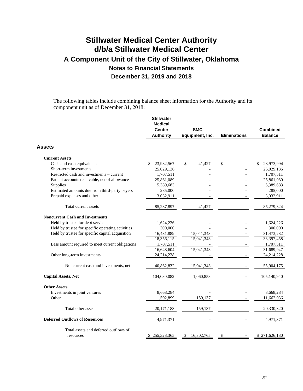The following tables include combining balance sheet information for the Authority and its component unit as of December 31, 2018:

|                                                   | <b>Stillwater</b><br><b>Medical</b><br><b>Center</b> | <b>SMC</b>       |                     | <b>Combined</b>  |
|---------------------------------------------------|------------------------------------------------------|------------------|---------------------|------------------|
|                                                   | <b>Authority</b>                                     | Equipment, Inc.  | <b>Eliminations</b> | <b>Balance</b>   |
| <b>Assets</b>                                     |                                                      |                  |                     |                  |
| <b>Current Assets</b>                             |                                                      |                  |                     |                  |
| Cash and cash equivalents                         | \$<br>23,932,567                                     | \$<br>41,427     | \$                  | \$<br>23,973,994 |
| Short-term investments                            | 25,029,136                                           |                  |                     | 25,029,136       |
| Restricted cash and investments – current         | 1,707,511                                            |                  |                     | 1,707,511        |
| Patient accounts receivable, net of allowance     | 25,861,089                                           |                  |                     | 25,861,089       |
| Supplies                                          | 5,389,683                                            |                  |                     | 5,389,683        |
| Estimated amounts due from third-party payers     | 285,000                                              |                  |                     | 285,000          |
| Prepaid expenses and other                        | 3,032,911                                            |                  |                     | 3,032,911        |
| Total current assets                              | 85,237,897                                           | 41,427           |                     | 85,279,324       |
| <b>Noncurrent Cash and Investments</b>            |                                                      |                  |                     |                  |
| Held by trustee for debt service                  | 1,624,226                                            |                  |                     | 1,624,226        |
| Held by trustee for specific operating activities | 300,000                                              |                  |                     | 300,000          |
| Held by trustee for specific capital acquisition  | 16,431,889                                           | 15,041,343       |                     | 31,473,232       |
|                                                   | 18,356,115                                           | 15,041,343       |                     | 33,397,458       |
| Less amount required to meet current obligations  | 1,707,511                                            |                  |                     | 1,707,511        |
|                                                   | 16,648,604                                           | 15,041,343       |                     | 31,689,947       |
| Other long-term investments                       | 24,214,228                                           |                  |                     | 24,214,228       |
| Noncurrent cash and investments, net              | 40,862,832                                           | 15,041,343       |                     | 55,904,175       |
| <b>Capital Assets, Net</b>                        | 104,080,082                                          | 1,060,858        |                     | 105,140,940      |
| <b>Other Assets</b>                               |                                                      |                  |                     |                  |
| Investments in joint ventures                     | 8,668,284                                            |                  |                     | 8,668,284        |
| Other                                             | 11,502,899                                           | 159,137          |                     | 11,662,036       |
| Total other assets                                | 20,171,183                                           | 159,137          |                     | 20,330,320       |
| <b>Deferred Outflows of Resources</b>             | 4,971,371                                            |                  |                     | 4,971,371        |
| Total assets and deferred outflows of             |                                                      |                  |                     |                  |
| resources                                         | \$255,323,365                                        | 16,302,765<br>\$ | S                   | \$271,626,130    |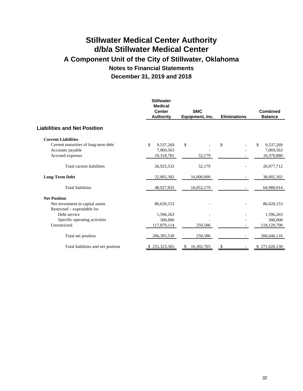|                                      | <b>Stillwater</b><br><b>Medical</b><br><b>Center</b><br><b>Authority</b> | <b>SMC</b><br>Equipment, Inc. | <b>Eliminations</b> | <b>Combined</b><br><b>Balance</b> |
|--------------------------------------|--------------------------------------------------------------------------|-------------------------------|---------------------|-----------------------------------|
| <b>Liabilities and Net Position</b>  |                                                                          |                               |                     |                                   |
| <b>Current Liabilities</b>           |                                                                          |                               |                     |                                   |
| Current maturities of long-term debt | \$<br>9,537,269                                                          | $\mathcal{S}$                 | \$                  | \$<br>9,537,269                   |
| Accounts payable                     | 7,069,563                                                                |                               |                     | 7,069,563                         |
| Accrued expenses                     | 10,318,701                                                               | 52,179                        |                     | 10,370,880                        |
| Total current liabilities            | 26,925,533                                                               | 52,179                        |                     | 26,977,712                        |
| <b>Long-Term Debt</b>                | 22,002,302                                                               | 16,000,000                    |                     | 38,002,302                        |
| <b>Total liabilities</b>             | 48,927,835                                                               | 16,052,179                    |                     | 64,980,014                        |
| <b>Net Position</b>                  |                                                                          |                               |                     |                                   |
| Net investment in capital assets     | 86,620,153                                                               |                               |                     | 86,620,153                        |
| Restricted – expendable for          |                                                                          |                               |                     |                                   |
| Debt service                         | 1,596,263                                                                |                               |                     | 1,596,263                         |
| Specific operating activities        | 300,000                                                                  |                               |                     | 300,000                           |
| Unrestricted                         | 117,879,114                                                              | 250,586                       |                     | 118,129,700                       |
| Total net position                   | 206,395,530                                                              | 250,586                       |                     | 206,646,116                       |
| Total liabilities and net position   | 255,323,365<br>P.                                                        | 16,302,765<br>\$              | \$                  | \$271,626,130                     |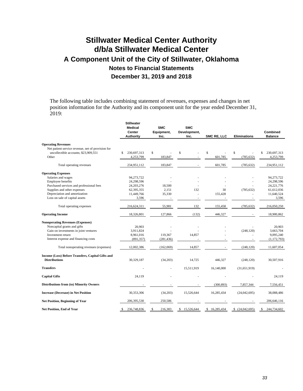The following table includes combining statement of revenues, expenses and changes in net position information for the Authority and its component unit for the year ended December 31, 2019:

|                                                   | <b>Stillwater</b><br><b>Medical</b><br>Center<br>Authority | <b>SMC</b><br>Equipment,<br>Inc. | <b>SMC</b><br>Development,<br>Inc. | SMC RE, LLC  | <b>Eliminations</b> | Combined<br><b>Balance</b> |
|---------------------------------------------------|------------------------------------------------------------|----------------------------------|------------------------------------|--------------|---------------------|----------------------------|
| <b>Operating Revenues</b>                         |                                                            |                                  |                                    |              |                     |                            |
| Net patient service revenue, net of provision for |                                                            |                                  |                                    |              |                     |                            |
| uncollectible accounts; \$23,909,551              | 230,697,313<br>\$                                          | \$                               | \$                                 | \$           | \$                  | 230,697,313<br>\$          |
| Other                                             | 4,253,799                                                  | 183,847                          |                                    | 601,785      | (785, 632)          | 4,253,799                  |
| Total operating revenues                          | 234,951,112                                                | 183,847                          |                                    | 601,785      | (785, 632)          | 234,951,112                |
| <b>Operating Expenses</b>                         |                                                            |                                  |                                    |              |                     |                            |
| Salaries and wages                                | 94,273,722                                                 |                                  |                                    |              |                     | 94,273,722                 |
| Employee benefits                                 | 24,298,596                                                 |                                  |                                    |              |                     | 24,298,596                 |
| Purchased services and professional fees          | 24, 203, 276                                               | 18,500                           |                                    |              |                     | 24, 221, 776               |
| Supplies and other expenses                       | 62,395,355                                                 | 2,151                            | 132                                | 30           | (785, 632)          | 61,612,036                 |
| Depreciation and amortization                     | 11,449,766                                                 | 35,330                           | ×,                                 | 155,428      |                     | 11,640,524                 |
| Loss on sale of capital assets                    | 3,596                                                      |                                  |                                    |              |                     | 3,596                      |
| Total operating expenses                          | 216,624,311                                                | 55,981                           | 132                                | 155,458      | (785, 632)          | 216,050,250                |
| <b>Operating Income</b>                           | 18,326,801                                                 | 127,866                          | (132)                              | 446,327      |                     | 18,900,862                 |
| <b>Nonoperating Revenues (Expenses)</b>           |                                                            |                                  |                                    |              |                     |                            |
| Noncapital grants and gifts                       | 20,903                                                     |                                  |                                    |              |                     | 20.903                     |
| Gain on investments in joint ventures             | 3,911,824                                                  |                                  |                                    |              | (248, 120)          | 3,663,704                  |
| Investment return                                 | 8,961,016                                                  | 119,367                          | 14,857                             |              |                     | 9,095,240                  |
| Interest expense and financing costs              | (891, 357)                                                 | (281, 436)                       |                                    |              |                     | (1, 172, 793)              |
| Total nonoperating revenues (expenses)            | 12,002,386                                                 | (162,069)                        | 14,857                             |              | (248, 120)          | 11,607,054                 |
| Income (Loss) Before Transfers, Capital Gifts and |                                                            |                                  |                                    |              |                     |                            |
| <b>Distributions</b>                              | 30,329,187                                                 | (34,203)                         | 14,725                             | 446,327      | (248, 120)          | 30,507,916                 |
| <b>Transfers</b>                                  |                                                            |                                  | 15,511,919                         | 16,140,000   | (31,651,919)        |                            |
| <b>Capital Gifts</b>                              | 24,119                                                     |                                  |                                    |              |                     | 24,119                     |
| <b>Distributions from (to) Minority Owners</b>    |                                                            |                                  |                                    | (300, 893)   | 7,857,344           | 7,556,451                  |
| <b>Increase (Decrease) in Net Position</b>        | 30,353,306                                                 | (34,203)                         | 15,526,644                         | 16,285,434   | (24,042,695)        | 38,088,486                 |
| <b>Net Position, Beginning of Year</b>            | 206,395,530                                                | 250,586                          |                                    |              |                     | 206,646,116                |
| Net Position, End of Year                         | 236,748,836                                                | 216,383                          | 15,526,644<br>\$                   | \$16,285,434 | $$$ $(24,042,695)$  | 244,734,602<br>\$          |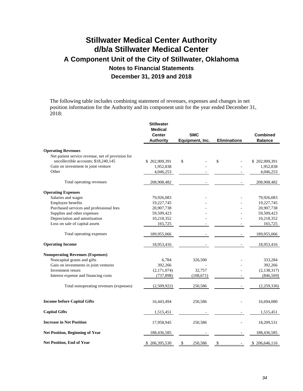The following table includes combining statement of revenues, expenses and changes in net position information for the Authority and its component unit for the year ended December 31, 2018:

|                                                   | <b>Stillwater</b><br><b>Medical</b><br><b>Center</b><br><b>Authority</b> | <b>SMC</b><br>Equipment, Inc. | <b>Eliminations</b> | <b>Combined</b><br><b>Balance</b> |
|---------------------------------------------------|--------------------------------------------------------------------------|-------------------------------|---------------------|-----------------------------------|
|                                                   |                                                                          |                               |                     |                                   |
| <b>Operating Revenues</b>                         |                                                                          |                               |                     |                                   |
| Net patient service revenue, net of provision for |                                                                          |                               |                     |                                   |
| uncollectible accounts; \$18,240,145              | \$202,909,391                                                            | \$                            | \$                  | \$202,909,391                     |
| Gain on investment in joint venture<br>Other      | 1,952,838                                                                |                               |                     | 1,952,838<br>4,046,253            |
|                                                   | 4,046,253                                                                |                               |                     |                                   |
| Total operating revenues                          | 208,908,482                                                              |                               |                     | 208,908,482                       |
| <b>Operating Expenses</b>                         |                                                                          |                               |                     |                                   |
| Salaries and wages                                | 79,926,083                                                               |                               |                     | 79,926,083                        |
| Employee benefits                                 | 19,227,745                                                               |                               |                     | 19,227,745                        |
| Purchased services and professional fees          | 20,907,738                                                               |                               |                     | 20,907,738                        |
| Supplies and other expenses                       | 59,509,423                                                               |                               |                     | 59,509,423                        |
| Depreciation and amortization                     | 10,218,352                                                               |                               |                     | 10,218,352                        |
| Loss on sale of capital assets                    | 165,725                                                                  |                               |                     | 165,725                           |
| Total operating expenses                          | 189,955,066                                                              |                               |                     | 189,955,066                       |
| <b>Operating Income</b>                           | 18,953,416                                                               |                               |                     | 18,953,416                        |
| <b>Nonoperating Revenues (Expenses)</b>           |                                                                          |                               |                     |                                   |
| Noncapital grants and gifts                       | 6,784                                                                    | 326,500                       |                     | 333,284                           |
| Gain on investments in joint ventures             | 392,266                                                                  |                               |                     | 392,266                           |
| Investment return                                 | (2,171,074)                                                              | 32,757                        |                     | (2, 138, 317)                     |
| Interest expense and financing costs              | (737, 898)                                                               | (108,671)                     |                     | (846, 569)                        |
| Total nonoperating revenues (expenses)            | (2,509,922)                                                              | 250,586                       |                     | (2,259,336)                       |
| <b>Income before Capital Gifts</b>                | 16,443,494                                                               | 250,586                       |                     | 16,694,080                        |
| <b>Capital Gifts</b>                              | 1,515,451                                                                |                               |                     | 1,515,451                         |
| <b>Increase in Net Position</b>                   | 17,958,945                                                               | 250,586                       |                     | 18,209,531                        |
| <b>Net Position, Beginning of Year</b>            | 188,436,585                                                              |                               |                     | 188,436,585                       |
| <b>Net Position, End of Year</b>                  | \$206,395,530                                                            | \$<br>250,586                 | \$                  | \$206,646,116                     |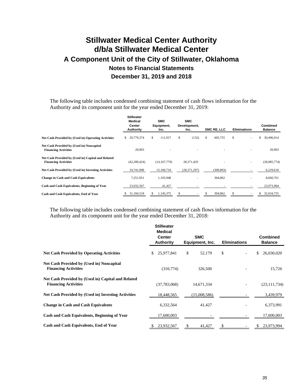The following table includes condensed combining statement of cash flows information for the Authority and its component unit for the year ended December 31, 2019:

|                                                                                   | <b>Stillwater</b><br><b>Medical</b><br>Center<br>Authority | <b>SMC</b><br>Equipment,<br>Inc. | <b>SMC</b><br>Development,<br>Inc. | SMC RE, LLC  | <b>Eliminations</b> | <b>Combined</b><br><b>Balance</b> |
|-----------------------------------------------------------------------------------|------------------------------------------------------------|----------------------------------|------------------------------------|--------------|---------------------|-----------------------------------|
| Net Cash Provided by (Used in) Operating Activities                               | 29,779,374<br>S.                                           | 111.017<br>S                     | (132)<br>S                         | S<br>605,755 | \$                  | 30,496,014<br>\$                  |
| Net Cash Provided by (Used in) Noncapital<br><b>Financing Activities</b>          | 20,903                                                     |                                  |                                    |              |                     | 20,903                            |
| Net Cash Provided by (Used in) Capital and Related<br><b>Financing Activities</b> | (42, 289, 424)                                             | (14, 167, 779)                   | 28,371,429                         |              |                     | (28,085,774)                      |
| Net Cash Provided by (Used in) Investing Activities                               | 19,741,098                                                 | 15,160,710                       | (28, 371, 297)                     | (300, 893)   |                     | 6,229,618                         |
| <b>Change in Cash and Cash Equivalents</b>                                        | 7,251,951                                                  | 1,103,948                        |                                    | 304,862      |                     | 8,660,761                         |
| Cash and Cash Equivalents, Beginning of Year                                      | 23,932,567                                                 | 41,427                           |                                    |              |                     | 23,973,994                        |
| Cash and Cash Equivalents, End of Year                                            | 31,184,518                                                 | 1,145,375                        |                                    | 304,862      |                     | 32,634,755<br>S                   |

The following table includes condensed combining statement of cash flows information for the Authority and its component unit for the year ended December 31, 2018:

|                                                                                   | <b>Stillwater</b><br><b>Medical</b><br><b>Center</b><br><b>Authority</b> | <b>SMC</b><br>Equipment, Inc. | <b>Eliminations</b> | <b>Combined</b><br><b>Balance</b> |
|-----------------------------------------------------------------------------------|--------------------------------------------------------------------------|-------------------------------|---------------------|-----------------------------------|
| <b>Net Cash Provided by Operating Activities</b>                                  | 25,977,841<br>S.                                                         | \$<br>52,179                  | \$                  | \$<br>26,030,020                  |
| <b>Net Cash Provided by (Used in) Noncapital</b><br><b>Financing Activities</b>   | (310,774)                                                                | 326,500                       |                     | 15,726                            |
| Net Cash Provided by (Used in) Capital and Related<br><b>Financing Activities</b> | (37,783,068)                                                             | 14,671,334                    |                     | (23, 111, 734)                    |
| <b>Net Cash Provided by (Used in) Investing Activities</b>                        | 18,448,565                                                               | (15,008,586)                  |                     | 3,439,979                         |
| <b>Change in Cash and Cash Equivalents</b>                                        | 6,332,564                                                                | 41,427                        |                     | 6,373,991                         |
| Cash and Cash Equivalents, Beginning of Year                                      | 17,600,003                                                               |                               |                     | 17,600,003                        |
| Cash and Cash Equivalents, End of Year                                            | 23,932,567                                                               | 41,427                        |                     | 23,973,994                        |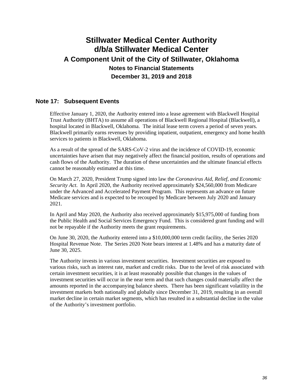## **Note 17: Subsequent Events**

Effective January 1, 2020, the Authority entered into a lease agreement with Blackwell Hospital Trust Authority (BHTA) to assume all operations of Blackwell Regional Hospital (Blackwell), a hospital located in Blackwell, Oklahoma. The initial lease term covers a period of seven years. Blackwell primarily earns revenues by providing inpatient, outpatient, emergency and home health services to patients in Blackwell, Oklahoma.

As a result of the spread of the SARS-CoV-2 virus and the incidence of COVID-19, economic uncertainties have arisen that may negatively affect the financial position, results of operations and cash flows of the Authority. The duration of these uncertainties and the ultimate financial effects cannot be reasonably estimated at this time.

On March 27, 2020, President Trump signed into law the *Coronavirus Aid, Relief, and Economic Security Act*. In April 2020, the Authority received approximately \$24,560,000 from Medicare under the Advanced and Accelerated Payment Program. This represents an advance on future Medicare services and is expected to be recouped by Medicare between July 2020 and January 2021.

In April and May 2020, the Authority also received approximately \$15,975,000 of funding from the Public Health and Social Services Emergency Fund. This is considered grant funding and will not be repayable if the Authority meets the grant requirements.

On June 30, 2020, the Authority entered into a \$10,000,000 term credit facility, the Series 2020 Hospital Revenue Note. The Series 2020 Note bears interest at 1.48% and has a maturity date of June 30, 2025.

The Authority invests in various investment securities. Investment securities are exposed to various risks, such as interest rate, market and credit risks. Due to the level of risk associated with certain investment securities, it is at least reasonably possible that changes in the values of investment securities will occur in the near term and that such changes could materially affect the amounts reported in the accompanying balance sheets. There has been significant volatility in the investment markets both nationally and globally since December 31, 2019, resulting in an overall market decline in certain market segments, which has resulted in a substantial decline in the value of the Authority's investment portfolio.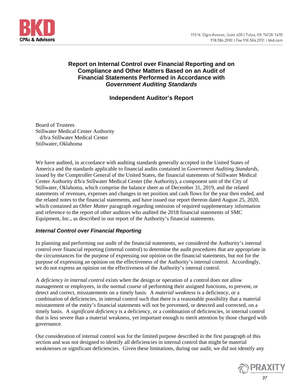

## **Report on Internal Control over Financial Reporting and on Compliance and Other Matters Based on an Audit of Financial Statements Performed in Accordance with**  *Government Auditing Standards*

## **Independent Auditor's Report**

Board of Trustees Stillwater Medical Center Authority d/b/a Stillwater Medical Center Stillwater, Oklahoma

We have audited, in accordance with auditing standards generally accepted in the United States of America and the standards applicable to financial audits contained in *Government Auditing Standards*, issued by the Comptroller General of the United States, the financial statements of Stillwater Medical Center Authority d/b/a Stillwater Medical Center (the Authority), a component unit of the City of Stillwater, Oklahoma, which comprise the balance sheet as of December 31, 2019, and the related statements of revenues, expenses and changes in net position and cash flows for the year then ended, and the related notes to the financial statements, and have issued our report thereon dated August 25, 2020, which contained an *Other Matter* paragraph regarding omission of required supplementary information and reference to the report of other auditors who audited the 2018 financial statements of SMC Equipment, Inc., as described in our report of the Authority's financial statements.

### *Internal Control over Financial Reporting*

In planning and performing our audit of the financial statements, we considered the Authority's internal control over financial reporting (internal control) to determine the audit procedures that are appropriate in the circumstances for the purpose of expressing our opinion on the financial statements, but not for the purpose of expressing an opinion on the effectiveness of the Authority's internal control. Accordingly, we do not express an opinion on the effectiveness of the Authority's internal control.

A *deficiency in internal control* exists when the design or operation of a control does not allow management or employees, in the normal course of performing their assigned functions, to prevent, or detect and correct, misstatements on a timely basis. A *material weakness* is a deficiency, or a combination of deficiencies, in internal control such that there is a reasonable possibility that a material misstatement of the entity's financial statements will not be prevented, or detected and corrected, on a timely basis. A *significant deficiency* is a deficiency, or a combination of deficiencies, in internal control that is less severe than a material weakness, yet important enough to merit attention by those charged with governance.

Our consideration of internal control was for the limited purpose described in the first paragraph of this section and was not designed to identify all deficiencies in internal control that might be material weaknesses or significant deficiencies. Given these limitations, during our audit, we did not identify any

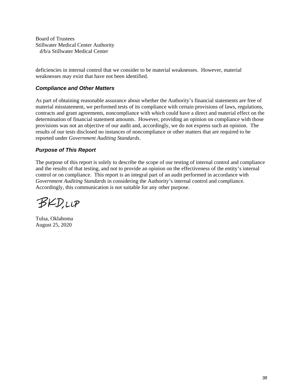Board of Trustees Stillwater Medical Center Authority d/b/a Stillwater Medical Center

deficiencies in internal control that we consider to be material weaknesses. However, material weaknesses may exist that have not been identified.

## *Compliance and Other Matters*

As part of obtaining reasonable assurance about whether the Authority's financial statements are free of material misstatement, we performed tests of its compliance with certain provisions of laws, regulations, contracts and grant agreements, noncompliance with which could have a direct and material effect on the determination of financial statement amounts. However, providing an opinion on compliance with those provisions was not an objective of our audit and, accordingly, we do not express such an opinion. The results of our tests disclosed no instances of noncompliance or other matters that are required to be reported under *Government Auditing Standards*.

## *Purpose of This Report*

The purpose of this report is solely to describe the scope of our testing of internal control and compliance and the results of that testing, and not to provide an opinion on the effectiveness of the entity's internal control or on compliance. This report is an integral part of an audit performed in accordance with *Government Auditing Standards* in considering the Authority's internal control and compliance. Accordingly, this communication is not suitable for any other purpose.

**BKD,LLP** 

Tulsa, Oklahoma August 25, 2020